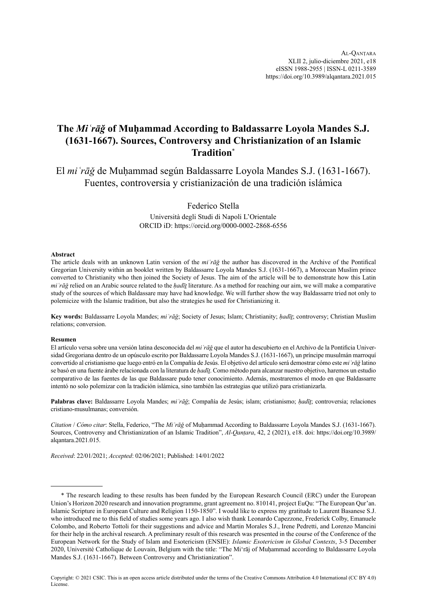# **The** *Miʿrāǧ* **of Muḥammad According to Baldassarre Loyola Mandes S.J. (1631-1667). Sources, Controversy and Christianization of an Islamic Tradition**\*

El *miʿrāǧ* de Muḥammad según Baldassarre Loyola Mandes S.J. (1631-1667). Fuentes, controversia y cristianización de una tradición islámica

Federico Stella

Università degli Studi di Napoli L'Orientale ORCID iD:<https://orcid.org/0000-0002-2868-6556>

#### **Abstract**

The article deals with an unknown Latin version of the *miʿrāǧ* the author has discovered in the Archive of the Pontifical Gregorian University within an booklet written by Baldassarre Loyola Mandes S.J. (1631-1667), a Moroccan Muslim prince converted to Christianity who then joined the Society of Jesus. The aim of the article will be to demonstrate how this Latin *miʿrāǧ* relied on an Arabic source related to the *ḥadīṯ* literature. As a method for reaching our aim, we will make a comparative study of the sources of which Baldassare may have had knowledge. We will further show the way Baldassarre tried not only to polemicize with the Islamic tradition, but also the strategies he used for Christianizing it.

**Key words:** Baldassarre Loyola Mandes; *miʿrāǧ*; Society of Jesus; Islam; Christianity; *ḥadīṯ*; controversy; Christian Muslim relations; conversion.

#### **Resumen**

El artículo versa sobre una versión latina desconocida del *miʿrāǧ* que el autor ha descubierto en el Archivo de la Pontificia Universidad Gregoriana dentro de un opúsculo escrito por Baldassarre Loyola Mandes S.J. (1631-1667), un príncipe musulmán marroquí convertido al cristianismo que luego entró en la Compañía de Jesús. El objetivo del artículo será demostrar cómo este *miʿrāǧ* latino se basó en una fuente árabe relacionada con la literatura de *hadīt*. Como método para alcanzar nuestro objetivo, haremos un estudio comparativo de las fuentes de las que Baldassare pudo tener conocimiento. Además, mostraremos el modo en que Baldassarre intentó no solo polemizar con la tradición islámica, sino también las estrategias que utilizó para cristianizarla.

**Palabras clave:** Baldassarre Loyola Mandes; *miʿrāǧ*; Compañía de Jesús; islam; cristianismo; *ḥadīṯ*; controversia; relaciones cristiano-musulmanas; conversión.

*Citation* / *Cómo citar*: Stella, Federico, "The *Miʿrāǧ* of Muḥammad According to Baldassarre Loyola Mandes S.J. (1631-1667). Sources, Controversy and Christianization of an Islamic Tradition", *Al-Qanṭara*, 42, 2 (2021), e18. doi: [https://doi.org/10.3989/](https://doi.org/10.3989/alqantara.2021.015) [alqantara.2021.015](https://doi.org/10.3989/alqantara.2021.015).

*Received*: 22/01/2021; *Accepted*: 02/06/2021; Published: 14/01/2022

<sup>\*</sup> The research leading to these results has been funded by the European Research Council (ERC) under the European Union's Horizon 2020 research and innovation programme, grant agreement no. 810141, project EuQu: "The European Qur'an. Islamic Scripture in European Culture and Religion 1150-1850". I would like to express my gratitude to Laurent Basanese S.J. who introduced me to this field of studies some years ago. I also wish thank Leonardo Capezzone, Frederick Colby, Emanuele Colombo, and Roberto Tottoli for their suggestions and advice and Martin Morales S.J., Irene Pedretti, and Lorenzo Mancini for their help in the archival research. A preliminary result of this research was presented in the course of the Conference of the European Network for the Study of Islam and Esotericism (ENSIE): *Islamic Esotericism in Global Contexts*, 3-5 December 2020, Université Catholique de Louvain, Belgium with the title: "The Mi'rāj of Muḥammad according to Baldassarre Loyola Mandes S.J. (1631-1667). Between Controversy and Christianization".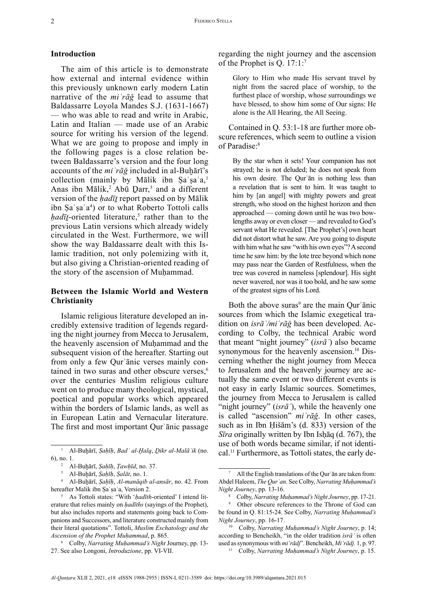# **Introduction**

The aim of this article is to demonstrate how external and internal evidence within this previously unknown early modern Latin narrative of the *miʿrāǧ* lead to assume that Baldassarre Loyola Mandes S.J. (1631-1667) — who was able to read and write in Arabic, Latin and Italian — made use of an Arabic source for writing his version of the legend. What we are going to propose and imply in the following pages is a close relation between Baldassarre's version and the four long accounts of the *mi* 'rā*ğ* included in al-Buhārī's collection (mainly by Mālik ibn Şa'şa'a,<sup>1</sup> Anas ibn Mālik,<sup>2</sup> Abū  $\text{Darr}$ ,<sup>3</sup> and a different version of the *ḥadīṯ* report passed on by Mālik ibn Ṣaʿṣaʿa<sup>4</sup> ) or to what Roberto Tottoli calls  $\frac{h \cdot ad}{\bar{u}}$ -oriented literature,<sup>5</sup> rather than to the previous Latin versions which already widely circulated in the West. Furthermore, we will show the way Baldassarre dealt with this Islamic tradition, not only polemizing with it, but also giving a Christian-oriented reading of the story of the ascension of Muḥammad.

# **Between the Islamic World and Western Christianity**

Islamic religious literature developed an incredibly extensive tradition of legends regarding the night journey from Mecca to Jerusalem, the heavenly ascension of Muhammad and the subsequent vision of the hereafter. Starting out from only a few Qurʾānic verses mainly contained in two suras and other obscure verses,<sup>6</sup> over the centuries Muslim religious culture went on to produce many theological, mystical, poetical and popular works which appeared within the borders of Islamic lands, as well as in European Latin and Vernacular literature. The first and most important Qurʾānic passage

regarding the night journey and the ascension of the Prophet is Q. 17:1:7

Glory to Him who made His servant travel by night from the sacred place of worship, to the furthest place of worship, whose surroundings we have blessed, to show him some of Our signs: He alone is the All Hearing, the All Seeing.

Contained in Q. 53:1-18 are further more obscure references, which seem to outline a vision of Paradise:8

By the star when it sets! Your companion has not strayed; he is not deluded; he does not speak from his own desire. The Qurʾān is nothing less than a revelation that is sent to him. It was taught to him by [an angel] with mighty powers and great strength, who stood on the highest horizon and then approached — coming down until he was two bowlengths away or even closer — and revealed to God's servant what He revealed. [The Prophet's] own heart did not distort what he saw. Are you going to dispute with him what he saw "with his own eyes"? A second time he saw him: by the lote tree beyond which none may pass near the Garden of Restfulness, when the tree was covered in nameless [splendour]. His sight never wavered, nor was it too bold, and he saw some of the greatest signs of his Lord.

Both the above suras<sup>9</sup> are the main Qur' $\bar{a}$ nic sources from which the Islamic exegetical tradition on *isrāʾ/miʿrāǧ* has been developed. According to Colby, the technical Arabic word that meant "night journey" (*isrāʾ*) also became synonymous for the heavenly ascension.<sup>10</sup> Discerning whether the night journey from Mecca to Jerusalem and the heavenly journey are actually the same event or two different events is not easy in early Islamic sources. Sometimes, the journey from Mecca to Jerusalem is called "night journey" *(isrā*<sup>'</sup>), while the heavenly one is called "ascension" *miʿrāǧ*. In other cases, such as in Ibn Ḥišām's (d. 833) version of the *Sīra* originally written by Ibn Isḥāq (d. 767), the use of both words became similar, if not identical.11 Furthermore, as Tottoli states, the early de-

<sup>1</sup> Al-Buḫārī, *Ṣaḥīḥ*, *Badʾ al-Ḫalq*, *Ḏikr al-Malāʾik* (no. 6), no. 1.

<sup>2</sup> Al-Buḫārī, *Ṣaḥīḥ*, *Ṭawḥīd*, no. 37.

<sup>3</sup> Al-Buḫārī, *Ṣaḥīḥ*, *Ṣalāt*, no. 1.

<sup>4</sup> Al-Buḫārī, *Ṣaḥīḥ*, *Al-manāqib al-ansār*, no. 42. From hereafter Malik ibn Sa'sa'a, Version 2.

<sup>5</sup> As Tottoli states: "With '*ḥadīth*-oriented' I intend literature that relies mainly on *ḥadīths* (sayings of the Prophet), but also includes reports and statements going back to Companions and Successors, and literature constructed mainly from their literal quotations". Tottoli, *Muslim Eschatology and the Ascension of the Prophet Muḥammad*, p. 865.

<sup>6</sup> Colby, *Narrating Muḥammad's Night* Journey, pp. 13- 27. See also Longoni, *Introduzione*, pp. VI-VII.

<sup>7</sup> All the English translations of the Qurʾān are taken from: Abdel Haleem, *The Qurʾan*. See Colby, *Narrating Muḥammad's Night Journey*, pp. 13-16.

<sup>8</sup> Colby, *Narrating Muḥammad's Night Journey*, pp. 17-21.

<sup>9</sup> Other obscure references to the Throne of God can be found in Q. 81:15-24. See Colby, *Narrating Muḥammad's Night Journey*, pp. 16-17.

<sup>10</sup> Colby, *Narrating Muḥammad's Night Journey*, p. 14; according to Bencheikh, "in the older tradition *isrāʾ* is often used as synonymous with *mi'rādj*". Bencheikh, *Mi'rādj.* 1, p. 97. <sup>11</sup> Colby, *Narrating Muḥammad's Night Journey*, p. 15.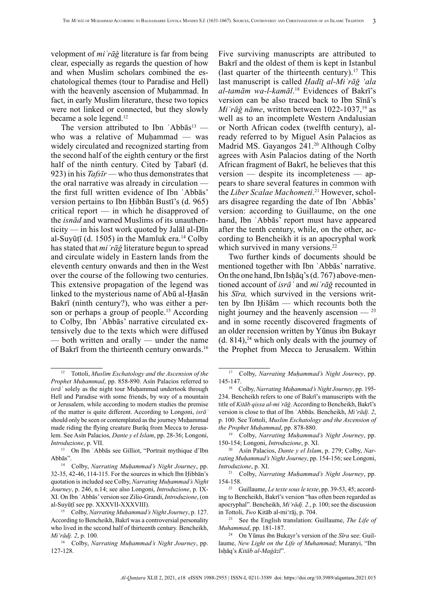velopment of *miʿrāǧ* literature is far from being clear, especially as regards the question of how and when Muslim scholars combined the eschatological themes (tour to Paradise and Hell) with the heavenly ascension of Muhammad. In fact, in early Muslim literature, these two topics were not linked or connected, but they slowly became a sole legend.<sup>12</sup>

The version attributed to Ibn 'Abbās<sup>13</sup> who was a relative of Muḥammad — was widely circulated and recognized starting from the second half of the eighth century or the first half of the ninth century. Cited by Ṭabarī (d. 923) in his *Tafsīr* — who thus demonstrates that the oral narrative was already in circulation the first full written evidence of Ibn ʿAbbās' version pertains to Ibn Ḥibbān Bustī's (d. 965) critical report — in which he disapproved of the *isnād* and warned Muslims of its unauthenticity — in his lost work quoted by Jalāl al-Dīn al-Suyūṭī (d. 1505) in the Mamluk era.<sup>14</sup> Colby has stated that *miʿrāǧ* literature begun to spread and circulate widely in Eastern lands from the eleventh century onwards and then in the West over the course of the following two centuries. This extensive propagation of the legend was linked to the mysterious name of Abū al-Ḥasān Bakrī (ninth century?), who was either a person or perhaps a group of people.<sup>15</sup> According to Colby, Ibn ʿAbbās' narrative circulated extensively due to the texts which were diffused — both written and orally — under the name of Bakrī from the thirteenth century onwards.16

Five surviving manuscripts are attributed to Bakrī and the oldest of them is kept in Istanbul (last quarter of the thirteenth century).<sup>17</sup> This last manuscript is called *Ḥadīṯ al-Miʿrāǧ 'ala al-tamām wa-l-kamāl*. <sup>18</sup> Evidences of Bakrī's version can be also traced back to Ibn Sīnā's *Mi'rāğ nāme*, written between 1022-1037,<sup>19</sup> as well as to an incomplete Western Andalusian or North African codex (twelfth century), already referred to by Miguel Asín Palacios as Madrid MS. Gayangos 241.<sup>20</sup> Although Colby agrees with Asín Palacios dating of the North African fragment of Bakrī, he believes that this version — despite its incompleteness — appears to share several features in common with the *Liber Scalae Machometi*. 21 However, scholars disagree regarding the date of Ibn ʿAbbās' version: according to Guillaume, on the one hand, Ibn ʿAbbās' report must have appeared after the tenth century, while, on the other, according to Bencheikh it is an apocryphal work which survived in many versions.<sup>22</sup>

Two further kinds of documents should be mentioned together with Ibn ʿAbbās' narrative. On the one hand, Ibn Isḥāq's (d. 767) above-mentioned account of *isrāʾ* and *miʿrāǧ* recounted in his *Sīra,* which survived in the versions written by Ibn Ḥišām — which recounts both the night journey and the heavenly ascension  $-$  <sup>23</sup> and in some recently discovered fragments of an older recension written by Yūnus ibn Bukayr (d. 814),<sup>24</sup> which only deals with the journey of the Prophet from Mecca to Jerusalem. Within

<sup>19</sup> Colby, *Narrating Muḥammad's Night Journey*, pp. 150-154; Longoni, *Introduzione*, p. XI.

20 Asín Palacios, *Dante y el Islam*, p. 279; Colby, *Narrating Muḥammad's Night Journey*, pp. 154-156; see Longoni, *Introduzione*, p. XI.

<sup>21</sup> Colby, *Narrating Muḥammad's Night Journey*, pp. 154-158.

22 Guillaume, *Le texte sous le texte*, pp. 39-53, 45; according to Bencheikh, Bakrī's version "has often been regarded as apocryphal". Bencheikh, *Mi'rādj. 2.*, p. 100; see the discussion in Tottoli, *Two* Kitāb al-mi'rāj, p. 704.

See the English translation: Guillaume, *The Life of Muhammad*, pp. 181-187.

<sup>12</sup> Tottoli, *Muslim Eschatology and the Ascension of the Prophet Muḥammad*, pp. 858-890. Asín Palacios referred to  $isr\bar{a}$ <sup>'</sup> solely as the night tour Muhammad undertook through Hell and Paradise with some friends, by way of a mountain or Jerusalem, while according to modern studies the premise of the matter is quite different. According to Longoni, *isrāʾ* should only be seen or contemplated as the journey Muḥammad made riding the flying creature Burāq from Mecca to Jerusalem. See Asín Palacios, *Dante y el Islam*, pp. 28-36; Longoni, *Introduzione*, p. VII.

<sup>13</sup> On Ibn ʿAbbās see Gilliot, "Portrait mythique d'Ibn Abbās".

<sup>14</sup> Colby, *Narrating Muḥammad's Night Journey*, pp. 32-35, 42-46, 114-115. For the sources in which Ibn Ḥibbān's quotation is included see Colby, *Narrating Muḥammad's Night Journey*, p. 246, n.14; see also Longoni, *Introduzione*, p. IX-XI. On Ibn ʿAbbās' version see Zilio-Grandi, *Introduzione*, (on al-Suyūṭī see pp. XXXVII-XXXVIII).

<sup>15</sup> Colby, *Narrating Muḥammad's Night Journey*, p. 127. According to Bencheikh, Bakrī was a controversial personality who lived in the second half of thirteenth century. Bencheikh, *Mi'rādj. 2*, p. 100.

<sup>16</sup> Colby, *Narrating Muḥammad's Night Journey*, pp. 127-128.

<sup>17</sup> Colby, *Narrating Muḥammad's Night Journey*, pp. 145-147.

<sup>18</sup> Colby, *Narrating Muḥammad's Night Journey*, pp. 195- 234. Bencheikh refers to one of Bakrī's manuscripts with the title of *Kitāb qissa al-miʿrāǧ*. According to Bencheikh, Bakrī's version is close to that of Ibn ʿAbbās. Bencheikh, *Mi'rādj. 2*, p. 100. See Tottoli, *Muslim Eschatology and the Ascension of the Prophet Muḥammad*, pp. 878-880.

<sup>24</sup> On Yūnus ibn Bukayr's version of the *Sīra* see: Guillaume, *New Light on the Life of Muhammad*; Muranyi, "Ibn Isḥāq's *Kitāb al-Maġāzī*".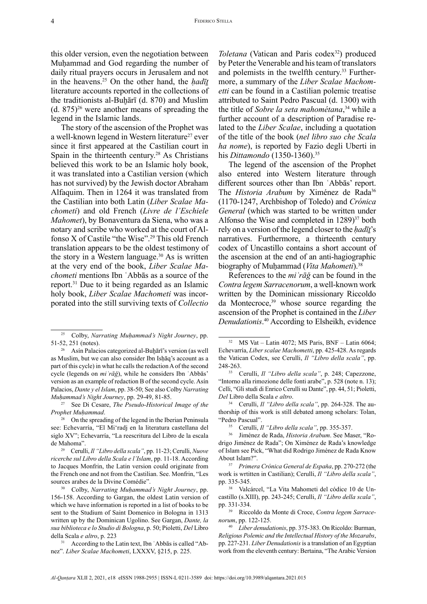this older version, even the negotiation between Muhammad and God regarding the number of daily ritual prayers occurs in Jerusalem and not in the heavens.25 On the other hand, the *ḥadīṯ* literature accounts reported in the collections of the traditionists al-Buḫārī (d. 870) and Muslim  $(d. 875)^{26}$  were another means of spreading the legend in the Islamic lands.

The story of the ascension of the Prophet was a well-known legend in Western literature<sup>27</sup> ever since it first appeared at the Castilian court in Spain in the thirteenth century.<sup>28</sup> As Christians believed this work to be an Islamic holy book, it was translated into a Castilian version (which has not survived) by the Jewish doctor Abraham Alfaquim. Then in 1264 it was translated from the Castilian into both Latin (*Liber Scalae Machometi*) and old French (*Livre de l'Eschiele Mahomet*), by Bonaventura da Siena, who was a notary and scribe who worked at the court of Alfonso X of Castile "the Wise".29 This old French translation appears to be the oldest testimony of the story in a Western language. $30$  As is written at the very end of the book, *Liber Scalae Machometi* mentions Ibn ʿAbbās as a source of the report.31 Due to it being regarded as an Islamic holy book, *Liber Scalae Machometi* was incorporated into the still surviving texts of *Collectio* 

*Toletana* (Vatican and Paris codex<sup>32</sup>) produced by Peter the Venerable and his team of translators and polemists in the twelfth century.<sup>33</sup> Furthermore, a summary of the *Liber Scalae Machometti* can be found in a Castilian polemic treatise attributed to Saint Pedro Pascual (d. 1300) with the title of *Sobre la seta mahométana*, 34 while a further account of a description of Paradise related to the *Liber Scalae*, including a quotation of the title of the book (*nel libro suo che Scala ha nome*), is reported by Fazio degli Uberti in his *Dittamondo* (1350-1360).<sup>35</sup>

The legend of the ascension of the Prophet also entered into Western literature through different sources other than Ibn ʿAbbās' report. The *Historia Arabum* by Ximénez de Rada<sup>36</sup> (1170-1247, Archbishop of Toledo) and *Crónica General* (which was started to be written under Alfonso the Wise and completed in  $1289$ <sup>37</sup> both rely on a version of the legend closer to the *ḥadīṯ*'s narratives. Furthermore, a thirteenth century codex of Uncastillo contains a short account of the ascension at the end of an anti-hagiographic biography of Muḥammad (*Vita Mahometi*). 38

References to the *miʿrāǧ* can be found in the *Contra legem Sarracenorum*, a well-known work written by the Dominican missionary Riccoldo da Montecroce,<sup>39</sup> whose source regarding the ascension of the Prophet is contained in the *Liber Denudationis*. 40 According to Elsheikh, evidence

34 Cerulli, *Il "Libro della scala"*, pp. 264-328. The authorship of this work is still debated among scholars: Tolan, "Pedro Pascual".

<sup>&</sup>lt;sup>25</sup> Colby, *Narrating Muḥammad's Night Journey*, pp. 51-52, 251 (notes).

<sup>&</sup>lt;sup>26</sup> Asín Palacios categorized al-Buḫārī's version (as well as Muslim, but we can also consider Ibn Ishāq's account as a part of this cycle) in what he calls the redaction A of the second cycle (legends on *miʿrāǧ*), while he considers Ibn ʿAbbās' version as an example of redaction B of the second cycle. Asín Palacios, *Dante y el Islam*, pp. 38-50; See also Colby *Narrating Muḥammad's Night Journey*, pp. 29-49, 81-85.

<sup>27</sup> See Di Cesare, *The Pseudo-Historical Image of the Prophet Muḥammad*.

<sup>&</sup>lt;sup>28</sup> On the spreading of the legend in the Iberian Peninsula see: Echevarría, "El Mi'radj en la literatura castellana del siglo XV"; Echevarría, "La reescritura del Libro de la escala de Mahoma".

<sup>29</sup> Cerulli, *Il "Libro della scala"*, pp. 11-23; Cerulli, *Nuove ricerche sul Libro della Scala e l'Islam*, pp. 11-18. According to Jacques Monfrin, the Latin version could originate from the French one and not from the Castilian. See. Monfrin, "Les sources arabes de la Divine Comédie".

<sup>30</sup> Colby, *Narrating Muḥammad's Night Journey*, pp. 156-158. According to Gargan, the oldest Latin version of which we have information is reported in a list of books to be sent to the Studium of Saint Domenico in Bologna in 1313 written up by the Dominican Ugolino. See Gargan, *Dante, la sua biblioteca e lo Studio di Bologna*, p. 50; Pioletti, *Del* Libro della Scala *e altro*, p. 223

<sup>31</sup> According to the Latin text, Ibn ʿAbbās is called "Abnez". *Liber Scalae Machometi*, LXXXV, §215, p. 225.

 $32$  MS Vat – Latin 4072; MS Paris, BNF – Latin 6064; Echevarría, *Liber scalae Machometti*, pp. 425-428. As regards the Vatican Codex, see Cerulli, *Il "Libro della scala"*, pp. 248-263.

<sup>33</sup> Cerulli, *Il "Libro della scala"*, p. 248; Capezzone, "Intorno alla rimozione delle fonti arabe", p. 528 (note n. 13); Celli, "Gli studi di Enrico Cerulli su Dante", pp. 44, 51; Pioletti, *Del* Libro della Scala *e altro*.

<sup>35</sup> Cerulli, *Il "Libro della scala"*, pp. 355-357.

<sup>36</sup> Jiménez de Rada, *Historia Arabum*. See Maser, "Rodrigo Jiménez de Rada"; On Ximénez de Rada's knowledge of Islam see Pick, "What did Rodrigo Jiménez de Rada Know About Islam?".

<sup>37</sup> *Primera Crónica General de Espaňa*, pp. 270-272 (the work is wrtitten in Castilian); Cerulli, *Il "Libro della scala"*, pp. 335-345.

<sup>38</sup> Valcárcel, "La Vita Mahometi del códice 10 de Uncastillo (s.XIII), pp. 243-245; Cerulli, *Il "Libro della scala"*, pp. 331-334.

<sup>39</sup> Riccoldo da Monte di Croce, *Contra legem Sarracenorum*, pp. 122-125.

<sup>40</sup> *Liber denudationis*, pp. 375-383. On Ricoldo: Burman, *Religious Polemic and the Intellectual History of the Mozarabs*, pp. 227-231. *Liber Denudationis* is a translation of an Egyptian work from the eleventh century: Bertaina, "The Arabic Version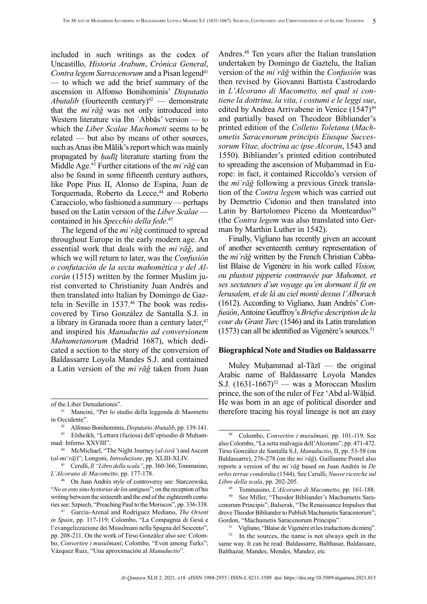included in such writings as the codex of Uncastillo, *Historia Arabum*, *Crónica General*, *Contra legem Sarracenorum* and a Pisan legend<sup>41</sup> — to which we add the brief summary of the ascension in Alfonso Bonihominis' *Disputatio Abutalib* (fourteenth century)<sup>42</sup> — demonstrate that the *miʿrāǧ* was not only introduced into Western literature via Ibn ʿAbbās' version — to which the *Liber Scalae Machometi* seems to be related — but also by means of other sources, such as Anas ibn Mālik's report which was mainly propagated by *ḥadīṯ* literature starting from the Middle Age.43 Further citations of the *miʿrāǧ* can also be found in some fifteenth century authors, like Pope Pius II, Alonso de Espina, Juan de Torquemada, Roberto da Lecce,<sup>44</sup> and Roberto Caracciolo, who fashioned a summary — perhaps based on the Latin version of the *Liber Scalae* contained in his *Specchio della fede*. 45

The legend of the *miʿrāǧ* continued to spread throughout Europe in the early modern age. An essential work that deals with the *miʿrāǧ*, and which we will return to later, was the *Confusión o confutación de la secta mahomética y del Alcorán* (1515) written by the former Muslim jurist converted to Christianity Juan Andrés and then translated into Italian by Domingo de Gaztelu in Seville in 1537.46 The book was rediscovered by Tirso González de Santalla S.J. in a library in Granada more than a century later,<sup>47</sup> and inspired his *Manuductio ad conversionem Mahumetanorum* (Madrid 1687), which dedicated a section to the story of the conversion of Baldassarre Loyola Mandes S.J. and contained a Latin version of the *miʿrāǧ* taken from Juan

Andres.48 Ten years after the Italian translation undertaken by Domingo de Gaztelu, the Italian version of the *miʿrāǧ* within the *Confusión* was then revised by Giovanni Battista Castrodardo in *L'Alcorano di Macometto, nel qual si contiene la dottrina, la vita, i costumi e le leggi sue*, edited by Andrea Arrivabene in Venice (1547)<sup>49</sup> and partially based on Theodeor Bibliander's printed edition of the *Colletio Toletana* (*Machumetis Saracenorum principis Eiusque Successorum Vitae, doctrina ac ipse Alcoran*, 1543 and 1550). Bibliander's printed edition contributed to spreading the ascension of Muhammad in Europe: in fact, it contained Riccoldo's version of the *miʿrāǧ* following a previous Greek translation of the *Contra legem* which was carried out by Demetrio Cidonio and then translated into Latin by Bartolomeo Piceno da Montearduo<sup>50</sup> (the *Contra legem* was also translated into German by Marthin Luther in 1542).

Finally, Vigliano has recently given an account of another seventeenth century representation of the *miʿrāǧ* written by the French Christian Cabbalist Blaise de Vigenère in his work called *Vision, ou plustost pipperie controuvée par Mahomet, et ses sectateurs d'un voyage qu'en dormant il fit en Ierusalem, et de là au ciel monté dessus l'Alborach* (1612). According to Vigliano, Juan Andrés' *Confusión*, Antoine Geuffroy's *Briefve description de la cour du Grant Turc* (1546) and its Latin translation  $(1573)$  can all be identified as Vigenère's sources.<sup>51</sup>

## **Biographical Note and Studies on Baldassarre**

Muley Muḥammad al-Tāzī — the original Arabic name of Baldassarre Loyola Mandes S.J.  $(1631-1667)^{52}$  — was a Moroccan Muslim prince, the son of the ruler of Fez 'Abd al-Wāḥid. He was born in an age of political disorder and therefore tracing his royal lineage is not an easy

of the Liber Denudationis".

<sup>41</sup> Mancini, "Per lo studio della leggenda di Maometto in Occidente".

<sup>42</sup> Alfonso Bonihominis, *Disputatio Abutalib*, pp. 139-141.

<sup>43</sup> Elsheikh, "Lettura (faziosa) dell'episodio di Muhammad: Inferno XXVIII".

<sup>44</sup> McMichael, "The Night Journey (*al-isrāʾ*) and Ascent (*al-mi'rāj*)"; Longoni, *Introduzione*, pp. XLIII-XLIV.

<sup>45</sup> Cerulli, *Il "Libro della scala"*, pp. 360-366; Tommasino, *L'Alcorano di Macometto*, pp. 177-178.

<sup>46</sup> On Juan Andrés style of controversy see: Starczewska, "*No es esto sino hystorias de los antiguos*"; on the reception of his writing between the sixteenth and the end of the eighteenth centuries see: Szpiech, "Preaching Paul to the Moriscos", pp. 336-338.

<sup>47</sup> García-Arenal and Rodríguez Mediano, *The Orient in Spain*, pp. 117-119; Colombo, "La Compagnia di Gesù e l'evangelizzazione dei Musulmani nella Spagna del Seicento", pp. 208-211. On the work of Tirso González also see: Colombo, *Convertire i musulmani*; Colombo, "Even among Turks"; Vázquez Ruiz, "Una aproximación al *Manuductio*".

<sup>48</sup> Colombo, *Convertire i musulmani,* pp. 101-119. See also Colombo, "La setta malvagia dell'Alcorano", pp. 471-472. Tirso González de Santalla S.J, *Manuductio*, II, pp. 53-58 (on Baldassarre), 276-278 (on the *miʿrāǧ*). Guillaume Postel also reports a version of the *miʿrāǧ* based on Juan Andrés in *De orbis terrae condordia* (1544). See Cerulli, *Nuove ricerche sul Libro della scala*, pp. 202-205.

<sup>49</sup> Tommasino, *L'Alcorano di Macometto*, pp. 161-188.

See Miller, "Theodor Bibliander's Machumetis Saracenorum Principis"; Balserak, "The Renaissance Impulses that drove Theodor Bibliander to Publish Machumetis Saracenorum"; Gordon, "Machumetis Saracenorum Principis".

<sup>51</sup> Vigliano, "Blaise de Vigenère et les traductions du miraj".

<sup>52</sup> In the sources, the name is not always spelt in the same way. It can be read: Baldassarre, Balthasar, Baldassare, Balthazar, Mandes, Mendes, Mandez, etc.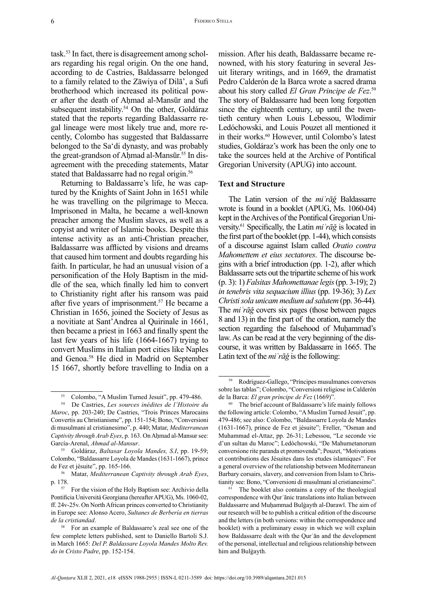task.53 In fact, there is disagreement among scholars regarding his regal origin. On the one hand, according to de Castries, Baldassarre belonged to a family related to the Zāwiya of Dilā', a Sufi brotherhood which increased its political power after the death of Ahmad al-Mansūr and the subsequent instability.<sup>54</sup> On the other, Goldáraz stated that the reports regarding Baldassarre regal lineage were most likely true and, more recently, Colombo has suggested that Baldassarre belonged to the Sa'di dynasty, and was probably the great-grandson of Ahmad al-Mansūr.<sup>55</sup> In disagreement with the preceding statements, Matar stated that Baldassarre had no regal origin.<sup>56</sup>

Returning to Baldassarre's life, he was captured by the Knights of Saint John in 1651 while he was travelling on the pilgrimage to Mecca. Imprisoned in Malta, he became a well-known preacher among the Muslim slaves, as well as a copyist and writer of Islamic books. Despite this intense activity as an anti-Christian preacher, Baldassarre was afflicted by visions and dreams that caused him torment and doubts regarding his faith. In particular, he had an unusual vision of a personification of the Holy Baptism in the middle of the sea, which finally led him to convert to Christianity right after his ransom was paid after five years of imprisonment.<sup>57</sup> He became a Christian in 1656, joined the Society of Jesus as a novitiate at Sant'Andrea al Quirinale in 1661, then became a priest in 1663 and finally spent the last few years of his life (1664-1667) trying to convert Muslims in Italian port cities like Naples and Genoa.58 He died in Madrid on September 15 1667, shortly before travelling to India on a

<sup>55</sup> Goldáraz, *Baltasar Loyola Mandes, S.I*, pp. 19-59; Colombo, "Baldassarre Loyola de Mandes (1631-1667), prince de Fez et jésuite", pp. 165-166.

mission. After his death, Baldassarre became renowned, with his story featuring in several Jesuit literary writings, and in 1669, the dramatist Pedro Calderón de la Barca wrote a sacred drama about his story called *El Gran Principe de Fez*. 59 The story of Baldassarre had been long forgotten since the eighteenth century, up until the twentieth century when Louis Lebessou, Wlodimir Ledóchowski, and Louis Pouzet all mentioned it in their works.<sup>60</sup> However, until Colombo's latest studies, Goldáraz's work has been the only one to take the sources held at the Archive of Pontifical Gregorian University (APUG) into account.

# **Text and Structure**

The Latin version of the *miʿrāǧ* Baldassarre wrote is found in a booklet (APUG, Ms. 1060-04) kept in the Archives of the Pontifical Gregorian University.61 Specifically, the Latin *miʿrāǧ* is located in the first part of the booklet (pp. 1-44), which consists of a discourse against Islam called *Oratio contra Mahomettem et eius sectatores*. The discourse begins with a brief introduction (pp. 1-2), after which Baldassarre sets out the tripartite scheme of his work (p. 3): 1) *Falsitas Mahomettanae legis* (pp. 3-19); 2) *in tenebris vita sequacium illius* (pp. 19-36); 3) *Lex Christi sola unicam medium ad salutem* (pp. 36-44)*.*  The *miʿrāǧ* covers six pages (those between pages 8 and 13) in the first part of the oration, namely the section regarding the falsehood of Muḥammad's law. As can be read at the very beginning of the discourse, it was written by Baldassarre in 1665. The Latin text of the *miʿrāǧ* is the following:

<sup>53</sup> Colombo, "A Muslim Turned Jesuit", pp. 479-486.

<sup>54</sup> De Castries, *Les sources inédites de l'Histoire du Maroc*, pp. 203-240; De Castries, "Trois Princes Marocains Convertis au Christianisme", pp. 151-154; Bono, "Conversioni di musulmani al cristianesimo", p. 440; Matar, *Mediterranean Captivity through Arab Eyes*, p. 163. On Aḥmad al-Mansur see: García-Arenal, *Ahmad al-Mansur*.

<sup>56</sup> Matar, *Mediterranean Captivity through Arab Eyes*, p. 178.

<sup>57</sup> For the vision of the Holy Baptism see: Archivio della Pontificia Universitá Georgiana (hereafter APUG), Ms. 1060-02, ff. 24v-25v. On North African princes converted to Christianity in Europe see: Alonso Acero, *Sultanes de Berbería en tierras de la cristiandad*.

<sup>58</sup> For an example of Baldassarre's zeal see one of the few complete letters published, sent to Daniello Bartoli S.J. in March 1665: *Del P. Baldassare Loyola Mandes Molto Rev. do in Cristo Padre*, pp. 152-154.

<sup>59</sup> Rodríguez-Gallego, "Príncipes musulmanes conversos sobre las tablas"; Colombo, "Conversioni religiose in Calderón de la Barca: *El gran príncipe de Fez* (1669)".

<sup>60</sup> The brief account of Baldassarre's life mainly follows the following article: Colombo, "A Muslim Turned Jesuit", pp. 479-486; see also: Colombo, "Baldassarre Loyola de Mandes (1631-1667), prince de Fez et jésuite"; Freller, "Osman and Muhammad el-Attaz, pp. 26-31; Lebessou, "Le seconde vie d'un sultan du Maroc"; Ledóchowski, "De Mahumetanorum conversione rite paranda et promovenda"; Pouzet, "Motivations et contributions des Jésuites dans les etudes islamiques". For a general overview of the relationship between Mediterranean Barbary corsairs, slavery, and conversion from Islam to Christianity see: Bono, "Conversioni di musulmani al cristianesimo".

 $61$  The booklet also contains a copy of the theological correspondence with Qurʾānic translations into Italian between Baldassarre and Muḥammad Bulġayth al-Darawī. The aim of our research will be to publish a critical edition of the discourse and the letters (in both versions: within the correspondence and booklet) with a preliminary essay in which we will explain how Baldassarre dealt with the Qurʾān and the development of the personal, intellectual and religious relationship between him and Bulġayth.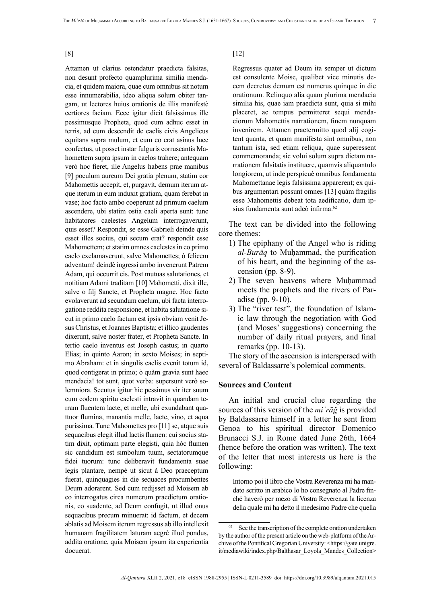[8]

Attamen ut clarius ostendatur praedicta falsitas, non desunt profecto quamplurima similia mendacia, et quidem maiora, quae cum omnibus sit notum esse innumerabilia, ideo aliqua solum obiter tangam, ut lectores huius orationis de illis manifestè certiores faciam. Ecce igitur dicit falsissimus ille pessimusque Propheta, quod cum adhuc esset in terris, ad eum descendit de caelis civis Angelicus equitans supra mulum, et cum eo erat asinus luce confectus, ut posset instar fulguris corruscantis Mahomettem supra ipsum in caelos trahere; antequam verò hoc fieret, ille Angelus habens prae manibus [9] poculum aureum Dei gratia plenum, statim cor Mahomettis accepit, et, purgavit, demum iterum atque iterum in eum induxit gratiam, quam ferebat in vase; hoc facto ambo coeperunt ad primum caelum ascendere, ubi statim ostia caeli aperta sunt: tunc habitatores caelestes Angelum interrogaverunt, quis esset? Respondit, se esse Gabrieli deinde quis esset illes socius, qui secum erat? respondit esse Mahomettem; et statim omnes caelestes in eo primo caelo exclamaverunt, salve Mahomettes; ò felicem adventum! deindè ingressi ambo invenerunt Patrem Adam, qui occurrit eis. Post mutuas salutationes, et notitiam Adami traditam [10] Mahometti, dixit ille, salve o filj Sancte, et Propheta magne. Hoc facto evolaverunt ad secundum caelum, ubi facta interrogatione reddita responsione, et habita salutatione sicut in primo caelo factum est ipsis obviam venit Jesus Christus, et Joannes Baptista; et illico gaudentes dixerunt, salve noster frater, et Propheta Sancte. In tertio caelo inventus est Joseph castus; in quarto Elias; in quinto Aaron; in sexto Moises; in septimo Abraham: et in singulis caelis evenit totum id, quod contigerat in primo; ò quàm gravia sunt haec mendacia! tot sunt, quot verba: supersunt verò solemniora. Secutus igitur hic pessimus vir iter suum cum eodem spiritu caelesti intravit in quandam terram fluentem lacte, et melle, ubi exundabant quattuor flumina, manantia melle, lacte, vino, et aqua purissima. Tunc Mahomettes pro [11] se, atque suis sequacibus elegit illud lactis flumen: cui socius statim dixit, optimam parte elegisti, quia hòc flumen sic candidum est simbolum tuum, sectatorumque fidei tuorum: tunc deliberavit fundamenta suae legis plantare, nempè ut sicut à Deo praeceptum fuerat, quinquagies in die sequaces procumbentes Deum adorarent. Sed cum redijsset ad Moisem ab eo interrogatus circa numerum praedictum orationis, eo suadente, ad Deum confugit, ut illud onus sequacibus precum minuerat: id factum, et decem ablatis ad Moisem iterum regressus ab illo intellexit humanam fragilitatem laturam aegrè illud pondus, addita oratione, quia Moisem ipsum ita experientia docuerat.

#### [12]

Regressus quater ad Deum ita semper ut dictum est consulente Moise, qualibet vice minutis decem decretus demum est numerus quinque in die orationum. Relinquo alia quam plurima mendacia similia his, quae iam praedicta sunt, quia si mihi placeret, ac tempus permitteret sequi mendaciorum Mahomettis narrationem, finem nunquam invenirem. Attamen praetermitto quod alij cogitent quanta, et quam manifesta sint omnibus, non tantum ista, sed etiam reliqua, quae superessent commemoranda; sic volui solum supra dictam narrationem falsitatis instituere, quamvis aliquantulo longiorem, ut inde perspicuè omnibus fondamenta Mahomettanae legis falsissima apparerent; ex quibus argumentari possunt omnes [13] quàm fragilis esse Mahomettis debeat tota aedificatio, dum ipsius fundamenta sunt adeò infirma.<sup>62</sup>

The text can be divided into the following core themes:

- 1) The epiphany of the Angel who is riding *al-Burāq* to Muḥammad, the purification of his heart, and the beginning of the ascension (pp. 8-9).
- 2) The seven heavens where Muhammad meets the prophets and the rivers of Paradise (pp. 9-10).
- 3) The "river test", the foundation of Islamic law through the negotiation with God (and Moses' suggestions) concerning the number of daily ritual prayers, and final remarks (pp. 10-13).

The story of the ascension is interspersed with several of Baldassarre's polemical comments.

### **Sources and Content**

An initial and crucial clue regarding the sources of this version of the *miʿrāǧ* is provided by Baldassarre himself in a letter he sent from Genoa to his spiritual director Domenico Brunacci S.J. in Rome dated June 26th, 1664 (hence before the oration was written). The text of the letter that most interests us here is the following:

Intorno poi il libro che Vostra Reverenza mi ha mandato scritto in arabico lo ho consegnato al Padre finché haverò per mezo di Vostra Reverenza la licenza della quale mi ha detto il medesimo Padre che quella

See the transcription of the complete oration undertaken by the author of the present article on the web-platform of the Archive of the Pontifical Gregorian University: <[https://gate.unigre.](https://gate.unigre.it/mediawiki/index.php/Balthasar_Loyola_Mandes_Collection) [it/mediawiki/index.php/Balthasar\\_Loyola\\_Mandes\\_Collection](https://gate.unigre.it/mediawiki/index.php/Balthasar_Loyola_Mandes_Collection)>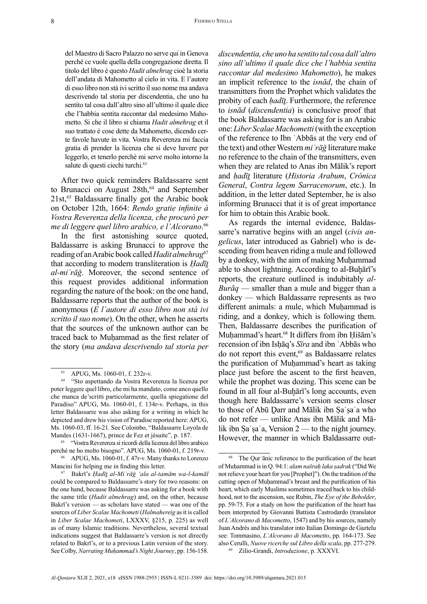del Maestro di Sacro Palazzo no serve qui in Genova perché ce vuole quella della congregazione diretta. Il titolo del libro è questo *Hadit almehrag* cioè la storia dell'andata di Mahometto al cielo in vita. E l'autore di esso libro non stà ivi scritto il suo nome ma andava descrivendo tal storia per discendentia, che uno ha sentito tal cosa dall'altro sino all'ultimo il quale dice che l'habbia sentita raccontar dal medesimo Mahometto. Si che il libro si chiama *Hadit almehrag* et il suo trattato è cose dette da Mahometto, dicendo certe favole havute in vita. Vostra Reverenza mi faccia gratia di prender la licenza che si deve havere per leggerlo, et tenerlo perchè mi serve molto intorno la salute di questi ciechi turchi.<sup>63</sup>

After two quick reminders Baldassarre sent to Brunacci on August 28th,<sup>64</sup> and September  $21st$ ,<sup>65</sup> Baldassarre finally got the Arabic book on October 12th, 1664: *Rendo gratie infinite à Vostra Reverenza della licenza, che procurò per me di leggere quel libro arabico, e l'Alcorano*. 66

In the first astonishing source quoted, Baldassarre is asking Brunacci to approve the reading of an Arabic book called *Hadit almehrag*<sup>67</sup> that according to modern transliteration is *Ḥadīṯ al-miʿrāǧ*. Moreover, the second sentence of this request provides additional information regarding the nature of the book: on the one hand, Baldassarre reports that the author of the book is anonymous (*E l'autore di esso libro non stà ivi scritto il suo nome*). On the other, when he asserts that the sources of the unknown author can be traced back to Muhammad as the first relater of the story (*ma andava descrivendo tal storia per* 

*discendentia, che uno ha sentito tal cosa dall'altro sino all'ultimo il quale dice che l'habbia sentita raccontar dal medesimo Mahometto*), he makes an implicit reference to the *isnād*, the chain of transmitters from the Prophet which validates the probity of each *hadīt*. Furthermore, the reference to *isnād* (*discendentia*) is conclusive proof that the book Baldassarre was asking for is an Arabic one: *Liber Scalae Machometti* (with the exception of the reference to Ibn ʿAbbās at the very end of the text) and other Western *miʿrāǧ* literature make no reference to the chain of the transmitters, even when they are related to Anas ibn Mālik's report and *ḥadīṯ* literature (*Historia Arabum*, *Crónica General*, *Contra legem Sarracenorum*, etc.). In addition, in the letter dated September, he is also informing Brunacci that it is of great importance for him to obtain this Arabic book.

As regards the internal evidence, Baldassarre's narrative begins with an angel (*civis angelicus*, later introduced as Gabriel) who is descending from heaven riding a mule and followed by a donkey, with the aim of making Muḥammad able to shoot lightning. According to al-Buḫārī's reports, the creature outlined is indubitably *al-Burāq* — smaller than a mule and bigger than a donkey — which Baldassarre represents as two different animals: a mule, which Muḥammad is riding, and a donkey, which is following them. Then, Baldassarre describes the purification of Muhammad's heart.<sup>68</sup> It differs from ibn Hišām's recension of ibn Isḥāq's *Sīra* and ibn ʿAbbās who do not report this event,<sup>69</sup> as Baldassarre relates the purification of Muḥammad's heart as taking place just before the ascent to the first heaven, while the prophet was dozing. This scene can be found in all four al-Buḫārī's long accounts, even though here Baldassarre's version seems closer to those of Abū Ḏarr and Mālik ibn Ṣaʿṣaʿa who do not refer — unlike Anas ibn Mālik and Mālik ibn Sa'sa'a, Version  $2$  — to the night journey. However, the manner in which Baldassarre out-

 $^{63}$  APUG, Ms. 1060-01, f. 232r-v.<br> $^{64}$  "Sto aspettando da Vostra Rev.

<sup>64 &</sup>quot;Sto aspettando da Vostra Reverenza la licenza per poter leggere quel libro, che mi ha mandato, come anco quello che manca de'scritti particolarmente, quella spiegatione del Paradiso" APUG, Ms. 1060-01, f. 134r-v. Perhaps, in this letter Baldassarre was also asking for a writing in which he depicted and drew his vision of Paradise reported here: APUG, Ms. 1060-03, ff. 16-21. See Colombo, "Baldassarre Loyola de Mandes (1631-1667), prince de Fez et jésuite", p. 187.

<sup>65 &</sup>quot;Vostra Reverenza si ricordi della licenza del libro arabico perché ne ho molto bisogno". APUG, Ms. 1060-01, f. 219r-v.

<sup>66</sup> APUG, Ms. 1060-01, f. 47r-v. Many thanks to Lorenzo Mancini for helping me in finding this letter.

<sup>67</sup> Bakrī's *Ḥadīṯ al-Miʿrāǧ 'ala al-tamām wa-l-kamāl*  could be compared to Baldassarre's story for two reasons: on the one hand, because Baldassarre was asking for a book with the same title (*Hadit almehrag*) and, on the other, because Bakrī's version — as scholars have stated — was one of the sources of *Liber Scalae Machometi* (*Halmahereig* as it is called in *Liber Scalae Machometi*, LXXXV, §215, p. 225) as well as of many Islamic traditions. Nevertheless, several textual indications suggest that Baldassarre's version is not directly related to Bakrī's, or to a previous Latin version of the story. See Colby, *Narrating Muḥammad's Night Journey*, pp. 156-158.

<sup>68</sup> The Qurʾānic reference to the purification of the heart of Muḥammad is in Q. 94:1: *alam našraḥ laka ṣadrak* ("Did We not relieve your heart for you [Prophet]"). On the tradition of the cutting open of Muhammad's breast and the purification of his heart, which early Muslims sometimes traced back to his childhood, not to the ascension, see Rubin, *The Eye of the Beholder*, pp. 59-75. For a study on how the purification of the heart has been interpreted by Giovanni Battista Castrodardo (translator of *L'Alcorano di Macometto*, 1547) and by his sources, namely Juan Andrés and his translator into Italian Domingo de Gaztelu see: Tommasino, *L'Alcorano di Macometto*, pp. 164-173. See also Cerulli, *Nuove ricerche sul Libro della scala*, pp. 277-279.

<sup>69</sup> Zilio-Grandi, *Introduzione*, p. XXXVI.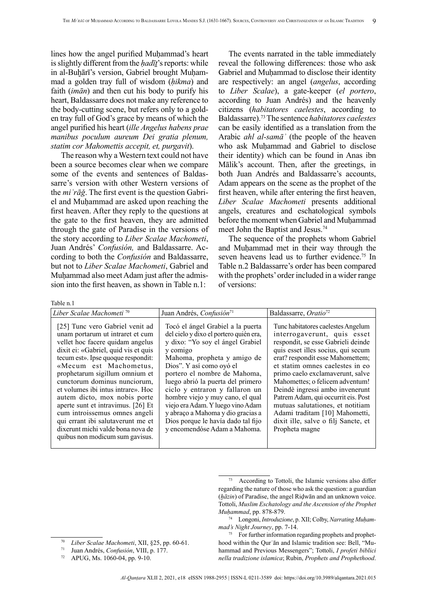lines how the angel purified Muhammad's heart is slightly different from the *hadīt*'s reports: while in al-Buhārī's version, Gabriel brought Muhammad a golden tray full of wisdom (*ḥikma*) and faith (*imān*) and then cut his body to purify his heart, Baldassarre does not make any reference to the body-cutting scene, but refers only to a golden tray full of God's grace by means of which the angel purified his heart (*ille Angelus habens prae manibus poculum aureum Dei gratia plenum, statim cor Mahomettis accepit, et, purgavit*).

The reason why a Western text could not have been a source becomes clear when we compare some of the events and sentences of Baldassarre's version with other Western versions of the *miʿrāǧ*. The first event is the question Gabriel and Muḥammad are asked upon reaching the first heaven. After they reply to the questions at the gate to the first heaven, they are admitted through the gate of Paradise in the versions of the story according to *Liber Scalae Machometi*, Juan Andrés' *Confusión,* and Baldassarre. According to both the *Confusión* and Baldassarre, but not to *Liber Scalae Machometi*, Gabriel and Muhammad also meet Adam just after the admission into the first heaven, as shown in Table n.1:

The events narrated in the table immediately reveal the following differences: those who ask Gabriel and Muhammad to disclose their identity are respectively: an angel (*angelus*, according to *Liber Scalae*), a gate-keeper (*el portero*, according to Juan Andrés) and the heavenly citizens (*habitatores caelestes*, according to Baldassarre).73The sentence *habitatores caelestes* can be easily identified as a translation from the Arabic *ahl al-samāʾ* (the people of the heaven who ask Muhammad and Gabriel to disclose their identity) which can be found in Anas ibn Mālik's account. Then, after the greetings, in both Juan Andrés and Baldassarre's accounts, Adam appears on the scene as the prophet of the first heaven, while after entering the first heaven, *Liber Scalae Machometi* presents additional angels, creatures and eschatological symbols before the moment when Gabriel and Muḥammad meet John the Baptist and Jesus.74

The sequence of the prophets whom Gabriel and Muḥammad met in their way through the seven heavens lead us to further evidence.<sup>75</sup> In Table n.2 Baldassarre's order has been compared with the prophets' order included in a wider range of versions:

Table n.1

| Liber Scalae Machometi <sup>70</sup>                                                                                                                                                                                                                                                                                                                                                                                                                                                                                                        | Juan Andrés, Confusión <sup>71</sup>                                                                                                                                                                                                                                                                                                                                                                                                                                              | Baldassarre, Oratio <sup>72</sup>                                                                                                                                                                                                                                                                                                                                                                                                                                                                    |
|---------------------------------------------------------------------------------------------------------------------------------------------------------------------------------------------------------------------------------------------------------------------------------------------------------------------------------------------------------------------------------------------------------------------------------------------------------------------------------------------------------------------------------------------|-----------------------------------------------------------------------------------------------------------------------------------------------------------------------------------------------------------------------------------------------------------------------------------------------------------------------------------------------------------------------------------------------------------------------------------------------------------------------------------|------------------------------------------------------------------------------------------------------------------------------------------------------------------------------------------------------------------------------------------------------------------------------------------------------------------------------------------------------------------------------------------------------------------------------------------------------------------------------------------------------|
| [25] Tunc vero Gabriel venit ad<br>unam portarum ut intraret et cum<br>vellet hoc facere quidam angelus<br>dixit ei: «Gabriel, quid vis et quis<br>tecum est». Ipse quoque respondit:<br>«Mecum est Machometus,<br>prophetarum sigillum omnium et<br>cunctorum dominus nunciorum,<br>et volumes ibi intus intrare». Hoc<br>autem dicto, mox nobis porte<br>aperte sunt et intravimus. [26] Et<br>cum introissemus omnes angeli<br>qui errant ibi salutaverunt me et<br>dixerunt michi valde bona nova de<br>quibus non modicum sum gavisus. | Tocó el ángel Grabiel a la puerta<br>del cielo y dixo el portero quién era,<br>y dixo: "Yo soy el ángel Grabiel<br>y comigo<br>Mahoma, propheta y amigo de<br>Dios". Y así como oyó el<br>portero el nombre de Mahoma,<br>luego abrió la puerta del primero<br>ciclo y entraron y fallaron un<br>hombre viejo y muy cano, el qual<br>viejo era Adam. Y luego vino Adam<br>y abraço a Mahoma y dio gracias a<br>Dios porque le havía dado tal fijo<br>y encomendóse Adam a Mahoma. | Tunc habitatores caelestes Angelum<br>interrogaverunt, quis esset<br>respondit, se esse Gabrieli deinde<br>quis esset illes socius, qui secum<br>erat? respondit esse Mahomettem;<br>et statim omnes caelestes in eo<br>primo caelo exclamaverunt, salve<br>Mahomettes; o felicem adventum!<br>Deindè ingressi ambo invenerunt<br>Patrem Adam, qui occurrit eis. Post<br>mutuas salutationes, et notitiam<br>Adami traditam [10] Mahometti,<br>dixit ille, salve o filj Sancte, et<br>Propheta magne |

<sup>73</sup> According to Tottoli, the Islamic versions also differ regarding the nature of those who ask the question: a guardian (*ḫāzin*) of Paradise, the angel Riḍwān and an unknown voice. Tottoli, *Muslim Eschatology and the Ascension of the Prophet Muḥammad*, pp. 878-879.

<sup>74</sup> Longoni, *Introduzione*, p. XII; Colby, *Narrating Muḥammad's Night Journey*, pp. 7-14.

<sup>75</sup> For further information regarding prophets and prophethood within the Qurʾān and Islamic tradition see: Bell, "Muhammad and Previous Messengers"; Tottoli, *I profeti biblici nella tradizione islamica*; Rubin, *Prophets and Prophethood*.

<sup>70</sup> *Liber Scalae Machometi*, XII, §25, pp. 60-61.

<sup>71</sup> Juan Andrés, *Confusión*, VIII, p. 177.

<sup>72</sup> APUG, Ms. 1060-04, pp. 9-10.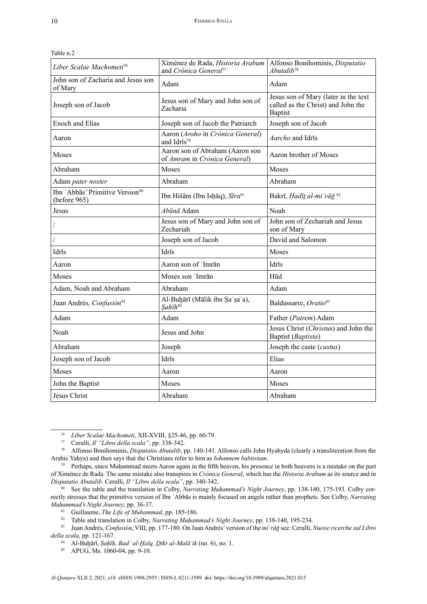| Liber Scalae Machometi <sup>76</sup>                        | Ximénez de Rada, Historia Arabum   Alfonso Bonihominis, Disputatio<br>and Crónica General <sup>77</sup> | Abutalib <sup>78</sup>                                                                       |
|-------------------------------------------------------------|---------------------------------------------------------------------------------------------------------|----------------------------------------------------------------------------------------------|
| John son of Zacharia and Jesus son<br>of Mary               | Adam                                                                                                    | Adam                                                                                         |
| Joseph son of Jacob                                         | Jesus son of Mary and John son of<br>Zacharia                                                           | Jesus son of Mary (later in the text<br>called as the Christ) and John the<br><b>Baptist</b> |
| <b>Enoch and Elias</b>                                      | Joseph son of Jacob the Patriarch                                                                       | Joseph son of Jacob                                                                          |
| Aaron                                                       | Aaron (Aroho in Crónica General)<br>and Idrīs <sup>79</sup>                                             | Aarcho and Idrīs                                                                             |
| Moses                                                       | Aaron son of Abraham (Aaron son<br>of Amram in Crónica General)                                         | Aaron brother of Moses                                                                       |
| Abraham                                                     | Moses                                                                                                   | Moses                                                                                        |
| Adam pater noster                                           | Abraham                                                                                                 | Abraham                                                                                      |
| Ibn 'Abbās' Primitive Version <sup>80</sup><br>(before 965) | Ibn Hišām (Ibn Isḥāq), Sīra <sup>81</sup>                                                               | Bakrī, Hadīt al-mi 'rāğ <sup>82</sup>                                                        |
| Jesus                                                       | Abūnā Adam                                                                                              | Noah                                                                                         |
|                                                             | Jesus son of Mary and John son of<br>Zechariah                                                          | John son of Zechariah and Jesus<br>son of Mary                                               |
| $\overline{1}$                                              | Joseph son of Jacob                                                                                     | David and Salomon                                                                            |
| Idrīs                                                       | Idrīs                                                                                                   | Moses                                                                                        |
| Aaron                                                       | Aaron son of 'Imrān                                                                                     | Idrīs                                                                                        |
| Moses                                                       | Moses son 'Imrān                                                                                        | Hūd                                                                                          |
| Adam, Noah and Abraham                                      | Abraham                                                                                                 | Adam                                                                                         |
| Juan Andrés, Confusión <sup>83</sup>                        | Al-Buḥārī (Mālik ibn Ṣaʿṣaʿa),<br>Sahīh <sup>84</sup>                                                   | Baldassarre, Oratio <sup>85</sup>                                                            |
| Adam                                                        | Adam                                                                                                    | Father (Patrem) Adam                                                                         |
| Noah                                                        | Jesus and John                                                                                          | Jesus Christ (Christus) and John the<br>Baptist (Baptista)                                   |
| Abraham                                                     | Joseph                                                                                                  | Joseph the caste (castus)                                                                    |
| Joseph son of Jacob                                         | Idrīs                                                                                                   | Elias                                                                                        |
| Moses                                                       | Aaron                                                                                                   | Aaron                                                                                        |
| John the Baptist                                            | Moses                                                                                                   | Moses                                                                                        |
| Jesus Christ                                                | Abraham                                                                                                 | Abraham                                                                                      |
|                                                             |                                                                                                         |                                                                                              |

Table n.2

<sup>76</sup> *Liber Scalae Machometi*, XII-XVIII, §25-46, pp. 60-79.

<sup>77</sup> Cerulli, *Il "Libro della scala"*, pp. 338-342.

<sup>78</sup> Alfonso Bonihominis, *Disputatio Abutalib*, pp. 140-141. Alfonso calls John Hyahyda (clearly a transliteration from the Arabic Yaḥya) and then says that the Christians refer to him as *Iohannem babtistam*.

<sup>&</sup>lt;sup>79</sup> Perhaps, since Muḥammad meets Aaron again in the fifth heaven, his presence in both heavens is a mistake on the part of Ximénez de Rada. The same mistake also transpires in *Crónica General*, which has the *Historia Arabum* as its source and in *Disputatio Abutalib*. Cerulli, *Il "Libro della scala"*, pp. 340-342.

<sup>80</sup> See the table and the translation in Colby, *Narrating Muḥammad's Night Journey*, pp. 138-140, 175-193. Colby correctly stresses that the primitive version of Ibn ʿAbbās is mainly focused on angels rather than prophets. See Colby, *Narrating Muḥammad's Night Journey*, pp. 36-37.

<sup>&</sup>lt;sup>81</sup> Guillaume, *The Life of Muhammad*, pp. 185-186.<br><sup>82</sup> Table and translation in Colby *Narrating Muham* 

<sup>82</sup> Table and translation in Colby, *Narrating Muḥammad's Night Journey*, pp. 138-140, 195-234.

<sup>83</sup> Juan Andrés, *Confusión*, VIII, pp. 177-180. On Juan Andrés' version of the *miʿrāǧ* see: Cerulli, *Nuove ricerche sul Libro della scala*, pp. 121-167.

<sup>84</sup> Al-Buḫārī, *Ṣaḥīḥ, Badʾ al-Ḫalq, Ḏikr al-Malāʾik* (no. 6), no. 1.

<sup>85</sup> APUG, Ms. 1060-04, pp. 9-10.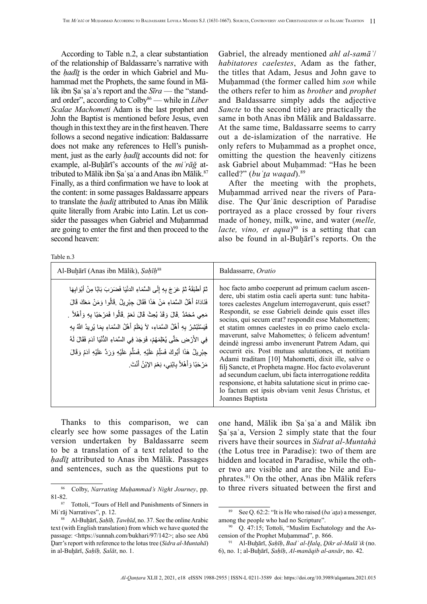According to Table n.2, a clear substantiation of the relationship of Baldassarre's narrative with the *ḥadīṯ* is the order in which Gabriel and Muhammad met the Prophets, the same found in Mālik ibn Sa'sa'a's report and the *Sīra* — the "standard order", according to Colby<sup>86</sup> — while in *Liber Scalae Machometi* Adam is the last prophet and John the Baptist is mentioned before Jesus, even though in this text they are in the first heaven. There follows a second negative indication: Baldassarre does not make any references to Hell's punishment, just as the early *ḥadīṯ* accounts did not: for example, al-Buḫārī's accounts of the *miʿrāǧ* attributed to Mālik ibn Sa'sa'a and Anas ibn Mālik.<sup>87</sup> Finally, as a third confirmation we have to look at the content: in some passages Baldassarre appears to translate the *hadit* attributed to Anas ibn Mālik quite literally from Arabic into Latin. Let us consider the passages when Gabriel and Muḥammad are going to enter the first and then proceed to the second heaven:

Table n.3

Gabriel, the already mentioned *ahl al-samāʾ*/ *habitatores caelestes*, Adam as the father, the titles that Adam, Jesus and John gave to Muhammad (the former called him *son* while the others refer to him as *brother* and *prophet* and Baldassarre simply adds the adjective *Sancte* to the second title) are practically the same in both Anas ibn Mālik and Baldassarre. At the same time, Baldassarre seems to carry out a de-islamization of the narrative. He only refers to Muhammad as a prophet once, omitting the question the heavenly citizens ask Gabriel about Muḥammad: "Has he been called?" (*bu* 'ta wagad).<sup>89</sup>

After the meeting with the prophets, Muhammad arrived near the rivers of Paradise. The Qurʾānic description of Paradise portrayed as a place crossed by four rivers made of honey, milk, wine, and water (*melle, lacte, vino, et aqua*)<sup>90</sup> is a setting that can also be found in al-Buḫārī's reports. On the

| lable n.3                                                                                                                                                                                                                                                                                                                                                                                                                                                                                                                                                                                                                                            |                                                                                                                                                                                                                                                                                                                                                                                                                                                                                                                                                                                                                                                                                                                                                                                                                 |
|------------------------------------------------------------------------------------------------------------------------------------------------------------------------------------------------------------------------------------------------------------------------------------------------------------------------------------------------------------------------------------------------------------------------------------------------------------------------------------------------------------------------------------------------------------------------------------------------------------------------------------------------------|-----------------------------------------------------------------------------------------------------------------------------------------------------------------------------------------------------------------------------------------------------------------------------------------------------------------------------------------------------------------------------------------------------------------------------------------------------------------------------------------------------------------------------------------------------------------------------------------------------------------------------------------------------------------------------------------------------------------------------------------------------------------------------------------------------------------|
| Al-Buḥārī (Anas ibn Mālik), Sahīh <sup>88</sup>                                                                                                                                                                                                                                                                                                                                                                                                                                                                                                                                                                                                      | Baldassarre, Oratio                                                                                                                                                                                                                                                                                                                                                                                                                                                                                                                                                                                                                                                                                                                                                                                             |
| تْمَّ أَطْبَقَهُ ثُمَّ عَرَجَ بِهِ إِلَى السَّمَاءِ الْدِنْيَا فَضَرَبَ بَابًا مِنْ أَبْوَابِهَا<br>فَنَادَاهُ أَهْلُ السَّمَاءِ مَنْ هَذَا فَقَالَ جِبْرِيلُ ۚ قَالُوا وَمَنْ مَعَكَ قَالَ<br>مَعِي مُحَمَّدٌ ۚ قَالَ وَقَدْ بُعِثَ قَالَ نَعَمْ ۚ قَالُوا فَمَرْحَبًا بِهِ وَأَهْلاً ۚ ـ<br>فَيَسْتَبْشِرُ بِهِ أَهْلُ السَّمَاءِ، لاَ يَعْلَمُ أَهْلُ السَّمَاءِ بِمَا يُرِيدُ اللَّهُ بِهِ<br>فِي الأَرْضِ حَتَّى يُعْلِمَهُمْ، فَوَجَدَ فِي السَّمَاءِ الدُّنْيَا آدَمَ فَقَالَ لَهُ<br>جِبْرِيلُ هَذَا أَبُوكَ فَسَلِّمْ عَلَيْهِ ۚ فَسَلَّمَ عَلَيْهِ وَرَدَّ عَلَيْهِ آدَمُ وَقَالَ<br>مَرْحَبًا وَأَهْلاً بِابْنِي، نِعْمَ الإِبْنُ أَنْتَ. | hoc facto ambo coeperunt ad primum caelum ascen-<br>dere, ubi statim ostia caeli aperta sunt: tunc habita-<br>tores caelestes Angelum interrogaverunt, quis esset?<br>Respondit, se esse Gabrieli deinde quis esset illes<br>socius, qui secum erat? respondit esse Mahomettem;<br>et statim omnes caelestes in eo primo caelo excla-<br>mayerunt, salve Mahomettes; ò felicem adventum!<br>deindè ingressi ambo invenerunt Patrem Adam, qui<br>occurrit eis. Post mutuas salutationes, et notitiam<br>Adami traditam [10] Mahometti, dixit ille, salve o<br>filj Sancte, et Propheta magne. Hoc facto evolaverunt<br>ad secundum caelum, ubi facta interrogatione reddita<br>responsione, et habita salutatione sicut in primo cae-<br>lo factum est ipsis obviam venit Jesus Christus, et<br>Joannes Baptista |

Thanks to this comparison, we can clearly see how some passages of the Latin version undertaken by Baldassarre seem to be a translation of a text related to the *ḥadīṯ* attributed to Anas ibn Mālik. Passages and sentences, such as the questions put to

one hand, Mālik ibn Ṣaʿṣaʿa and Mālik ibn Sa'sa'a, Version 2 simply state that the four rivers have their sources in *Sidrat al-Muntahà* (the Lotus tree in Paradise): two of them are hidden and located in Paradise, while the other two are visible and are the Nile and Euphrates.91 On the other, Anas ibn Mālik refers to three rivers situated between the first and

<sup>86</sup> Colby, *Narrating Muḥammad's Night Journey*, pp.  $81-82.$ 

Tottoli, "Tours of Hell and Punishments of Sinners in Miʿrāj Narratives", p. 12.

<sup>88</sup> Al-Buḫārī, *Ṣaḥīḥ, Ṭawḥīd*, no. 37. See the online Arabic text (with English translation) from which we have quoted the passage: <[https://sunnah.com/bukhari/97/142>](https://sunnah.com/bukhari/97/142); also see Abū Ḏarr's report with reference to the lotus tree (*Sidra al-Muntahā*) in al-Buḫārī, *Ṣaḥīḥ, Ṣalāt*, no. 1.

<sup>89</sup> See Q. 62:2: "It is He who raised (*baʿaṯa*) a messenger, among the people who had no Scripture".

 $90$  Q. 47:15; Tottoli, "Muslim Eschatology and the Ascension of the Prophet Muḥammad", p. 866.

<sup>91</sup> Al-Buḫārī, *Ṣaḥīḥ*, *Badʾ al-Ḫalq*, *Ḏikr al-Malāʾik* (no. 6), no. 1; al-Buḫārī, *Ṣaḥīḥ*, *Al-manāqib al-ansār*, no. 42.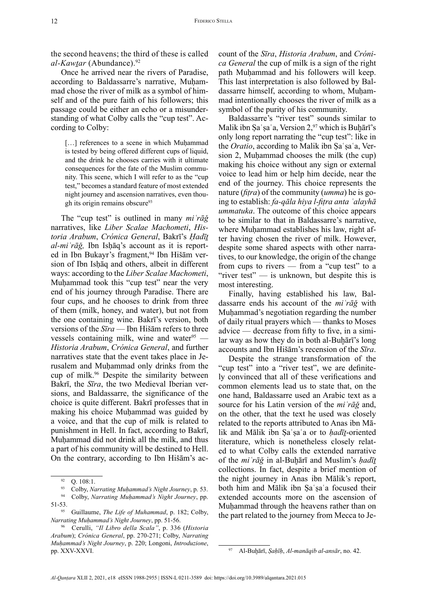the second heavens; the third of these is called *al-Kawtar* (Abundance).<sup>92</sup>

Once he arrived near the rivers of Paradise, according to Baldassarre's narrative, Muḥammad chose the river of milk as a symbol of himself and of the pure faith of his followers; this passage could be either an echo or a misunderstanding of what Colby calls the "cup test". According to Colby:

[...] references to a scene in which Muhammad is tested by being offered different cups of liquid, and the drink he chooses carries with it ultimate consequences for the fate of the Muslim community. This scene, which I will refer to as the "cup test," becomes a standard feature of most extended night journey and ascension narratives, even though its origin remains obscure<sup>93</sup>

The "cup test" is outlined in many *miʿrāǧ*  narratives, like *Liber Scalae Machometi*, *Historia Arabum*, *Crónica General*, Bakrī's *Ḥadīṯ al-miʿrāǧ,* Ibn Isḥāq's account as it is reported in Ibn Bukayr's fragment,<sup>94</sup> Ibn Hišām version of Ibn Isḥāq and others, albeit in different ways: according to the *Liber Scalae Machometi*, Muḥammad took this "cup test" near the very end of his journey through Paradise. There are four cups, and he chooses to drink from three of them (milk, honey, and water), but not from the one containing wine. Bakrī's version, both versions of the *Sīra* — Ibn Hišām refers to three vessels containing milk, wine and water $95$ *Historia Arabum*, *Crónica General*, and further narratives state that the event takes place in Jerusalem and Muḥammad only drinks from the cup of milk.96 Despite the similarity between Bakrī, the *Sīra*, the two Medieval Iberian versions, and Baldassarre, the significance of the choice is quite different. Bakrī professes that in making his choice Muhammad was guided by a voice, and that the cup of milk is related to punishment in Hell. In fact, according to Bakrī, Muhammad did not drink all the milk, and thus a part of his community will be destined to Hell. On the contrary, according to Ibn Hišām's account of the *Sīra*, *Historia Arabum*, and *Crónica General* the cup of milk is a sign of the right path Muhammad and his followers will keep. This last interpretation is also followed by Baldassarre himself, according to whom, Muhammad intentionally chooses the river of milk as a symbol of the purity of his community.

Baldassarre's "river test" sounds similar to Malik ibn Ṣaʿṣaʿa, Version 2,<sup>97</sup> which is Buḫārī's only long report narrating the "cup test": like in the *Oratio*, according to Malik ibn Sa'sa'a, Version 2, Muḥammad chooses the milk (the cup) making his choice without any sign or external voice to lead him or help him decide, near the end of the journey. This choice represents the nature (*fiṭra*) of the community (*umma*) he is going to establish: *fa-qāla hiya l-fiṭra anta ʿalayhā ummatuka*. The outcome of this choice appears to be similar to that in Baldassarre's narrative, where Muhammad establishes his law, right after having chosen the river of milk. However, despite some shared aspects with other narratives, to our knowledge, the origin of the change from cups to rivers — from a "cup test" to a "river test" — is unknown, but despite this is most interesting.

Finally, having established his law, Baldassarre ends his account of the *miʿrāǧ* with Muhammad's negotiation regarding the number of daily ritual prayers which — thanks to Moses advice — decrease from fifty to five, in a similar way as how they do in both al-Buhārī's long accounts and Ibn Hišām's recension of the *Sīra*.

Despite the strange transformation of the "cup test" into a "river test", we are definitely convinced that all of these verifications and common elements lead us to state that, on the one hand, Baldassarre used an Arabic text as a source for his Latin version of the *miʿrāǧ* and, on the other, that the text he used was closely related to the reports attributed to Anas ibn Mālik and Mālik ibn Ṣaʿṣaʿa or to *ḥadīṯ*-oriented literature, which is nonetheless closely related to what Colby calls the extended narrative of the *miʿrāǧ* in al-Buḫārī and Muslim's *ḥadīṯ* collections. In fact, despite a brief mention of the night journey in Anas ibn Mālik's report, both him and Mālik ibn Ṣaʿṣaʿa focused their extended accounts more on the ascension of Muhammad through the heavens rather than on the part related to the journey from Mecca to Je-

 $92$  O. 108:1.

<sup>93</sup> Colby, *Narrating Muḥammad's Night Journey*, p. 53. <sup>94</sup> Colby, *Narrating Muḥammad's Night Journey*, pp.

<sup>51-53.</sup>

<sup>95</sup> Guillaume, *The Life of Muhammad*, p. 182; Colby, *Narrating Muḥammad's Night Journey*, pp. 51-56.

<sup>96</sup> Cerulli, *"Il Libro della Scala"*, p. 336 (*Historia Arabum*); *Crónica General*, pp. 270-271; Colby, *Narrating Muḥammad's Night Journey*, p. 220; Longoni, *Introduzione*, pp. XXV-XXVI.

<sup>97</sup> Al-Buḫārī, *Ṣaḥīḥ*, *Al-manāqib al-ansār*, no. 42.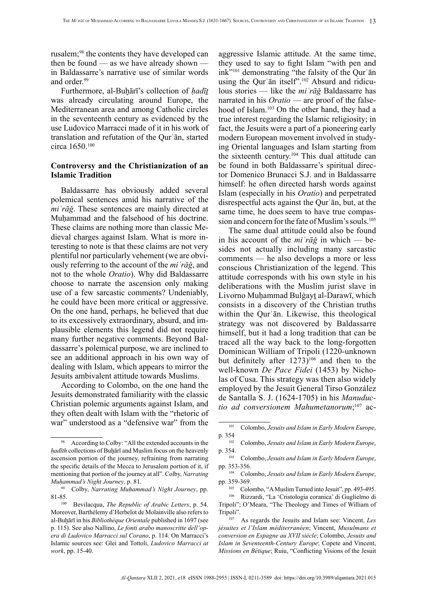rusalem;<sup>98</sup> the contents they have developed can then be found — as we have already shown in Baldassarre's narrative use of similar words and order.<sup>99</sup>

Furthermore, al-Buḫārī's collection of *ḥadīṯ* was already circulating around Europe, the Mediterranean area and among Catholic circles in the seventeenth century as evidenced by the use Ludovico Marracci made of it in his work of translation and refutation of the Qurʾān, started circa 1650.<sup>100</sup>

# **Controversy and the Christianization of an Islamic Tradition**

Baldassarre has obviously added several polemical sentences amid his narrative of the *miʿrāǧ*. These sentences are mainly directed at Muhammad and the falsehood of his doctrine. These claims are nothing more than classic Medieval charges against Islam. What is more interesting to note is that these claims are not very plentiful nor particularly vehement (we are obviously referring to the account of the *miʿrāǧ*, and not to the whole *Oratio*). Why did Baldassarre choose to narrate the ascension only making use of a few sarcastic comments? Undeniably, he could have been more critical or aggressive. On the one hand, perhaps, he believed that due to its excessively extraordinary, absurd, and implausible elements this legend did not require many further negative comments. Beyond Baldassarre's polemical purpose, we are inclined to see an additional approach in his own way of dealing with Islam, which appears to mirror the Jesuits ambivalent attitude towards Muslims.

According to Colombo, on the one hand the Jesuits demonstrated familiarity with the classic Christian polemic arguments against Islam, and they often dealt with Islam with the "rhetoric of war" understood as a "defensive war" from the

aggressive Islamic attitude. At the same time, they used to say to fight Islam "with pen and ink"<sup>101</sup> demonstrating "the falsity of the Qur'an using the Qurʾān itself".102 Absurd and ridiculous stories — like the *miʿrāǧ* Baldassarre has narrated in his *Oratio* — are proof of the falsehood of Islam.<sup>103</sup> On the other hand, they had a true interest regarding the Islamic religiosity; in fact, the Jesuits were a part of a pioneering early modern European movement involved in studying Oriental languages and Islam starting from the sixteenth century.104 This dual attitude can be found in both Baldassarre's spiritual director Domenico Brunacci S.J. and in Baldassarre himself: he often directed harsh words against Islam (especially in his *Oratio*) and perpetrated disrespectful acts against the Qurʾān, but, at the same time, he does seem to have true compassion and concern for the fate of Muslim's souls.<sup>105</sup>

The same dual attitude could also be found in his account of the *miʿrāǧ* in which — besides not actually including many sarcastic comments — he also develops a more or less conscious Christianization of the legend. This attitude corresponds with his own style in his deliberations with the Muslim jurist slave in Livorno Muhammad Bulgayt al-Darawī, which consists in a discovery of the Christian truths within the Qur'an. Likewise, this theological strategy was not discovered by Baldassarre himself, but it had a long tradition that can be traced all the way back to the long-forgotten Dominican William of Tripoli (1220-unknown but definitely after  $1273$ <sup>106</sup> and then to the well-known *De Pace Fidei* (1453) by Nicholas of Cusa. This strategy was then also widely employed by the Jesuit General Tirso González de Santalla S. J. (1624-1705) in his *Manuductio ad conversionem Mahumetanorum*; 107 ac-

<sup>105</sup> Colombo, "A Muslim Turned into Jesuit", pp. 493-495.<br><sup>106</sup> Pizzardi, "La 'Cristologia coranica' di Guglielmo di

According to Colby: "All the extended accounts in the *ḥadīth* collections of Buḫārī and Muslim focus on the heavenly ascension portion of the journey, refraining from narrating the specific details of the Mecca to Jerusalem portion of it, if mentioning that portion of the journey at all". Colby, *Narrating Muḥammad's Night Journey*, p. 81.

<sup>99</sup> Colby, *Narrating Muḥammad's Night Journey*, pp. 81-85.

<sup>100</sup> Bevilacqua, *The Republic of Arabic Letters*, p. 54. Moreover, Barthélemy d'Herbelot de Molainville also refers to al-Buḫārī in his *Bibliothèque Orientale* published in 1697 (see p. 115). See also Nallino, *Le fonti arabo manoscritte dell'opera di Ludovico Marracci sul Corano*, p. 114. On Marracci's Islamic sources see: Glei and Tottoli, *Ludovico Marracci at work*, pp. 15-40.

<sup>101</sup> Colombo, *Jesuits and Islam in Early Modern Europe*, p. 354102 Colombo, *Jesuits and Islam in Early Modern Europe*,

p. 354.

<sup>103</sup> Colombo, *Jesuits and Islam in Early Modern Europe*, pp. 353-356.

<sup>104</sup> Colombo, *Jesuits and Islam in Early Modern Europe*, pp. 359-369.

<sup>106</sup> Rizzardi, "La 'Cristologia coranica' di Guglielmo di Tripoli"; O'Meara, "The Theology and Times of William of

Tripoli". 107 As regards the Jesuits and Islam see: Vincent, *Les jésuites et l'Islam méditerranéen*; Vincent, *Musulmans et conversion en Espagne au XVII siècle*; Colombo, *Jesuits and Islam in Seventeenth-Century Europe*; Copete and Vincent, *Missions en Bétique*; Ruiu, "Conflicting Visions of the Jesuit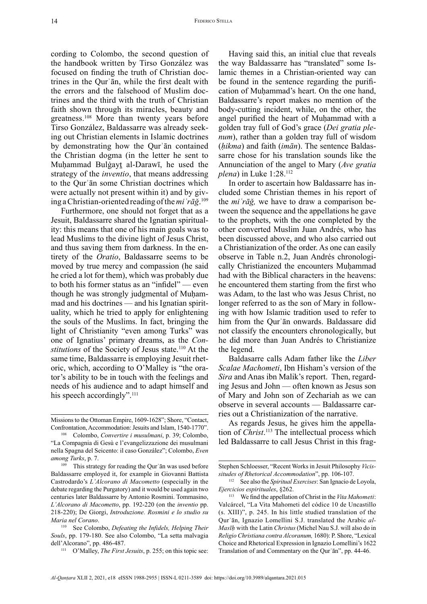cording to Colombo, the second question of the handbook written by Tirso González was focused on finding the truth of Christian doctrines in the Qurʾān, while the first dealt with the errors and the falsehood of Muslim doctrines and the third with the truth of Christian faith shown through its miracles, beauty and greatness.108 More than twenty years before Tirso González, Baldassarre was already seeking out Christian elements in Islamic doctrines by demonstrating how the Qurʾān contained the Christian dogma (in the letter he sent to Muḥammad Bulġayṯ al-Darawī, he used the strategy of the *inventio*, that means addressing to the Qurʾān some Christian doctrines which were actually not present within it) and by giving a Christian-oriented reading of the *miʿrāǧ*. 109

Furthermore, one should not forget that as a Jesuit, Baldassarre shared the Ignatian spirituality: this means that one of his main goals was to lead Muslims to the divine light of Jesus Christ, and thus saving them from darkness. In the entirety of the *Oratio*, Baldassarre seems to be moved by true mercy and compassion (he said he cried a lot for them), which was probably due to both his former status as an "infidel" — even though he was strongly judgmental of Muḥammad and his doctrines — and his Ignatian spirituality, which he tried to apply for enlightening the souls of the Muslims. In fact, bringing the light of Christianity "even among Turks" was one of Ignatius' primary dreams, as the *Constitutions* of the Society of Jesus state.<sup>110</sup> At the same time, Baldassarre is employing Jesuit rhetoric, which, according to O'Malley is "the orator's ability to be in touch with the feelings and needs of his audience and to adapt himself and his speech accordingly".<sup>111</sup>

Having said this, an initial clue that reveals the way Baldassarre has "translated" some Islamic themes in a Christian-oriented way can be found in the sentence regarding the purification of Muhammad's heart. On the one hand, Baldassarre's report makes no mention of the body-cutting incident, while, on the other, the angel purified the heart of Muhammad with a golden tray full of God's grace (*Dei gratia plenum*), rather than a golden tray full of wisdom (*ḥikma*) and faith (*imān*). The sentence Baldassarre chose for his translation sounds like the Annunciation of the angel to Mary (*Ave gratia plena*) in Luke 1:28.<sup>112</sup>

In order to ascertain how Baldassarre has included some Christian themes in his report of the *miʿrāǧ,* we have to draw a comparison between the sequence and the appellations he gave to the prophets, with the one completed by the other converted Muslim Juan Andrés, who has been discussed above, and who also carried out a Christianization of the order. As one can easily observe in Table n.2, Juan Andrés chronologically Christianized the encounters Muhammad had with the Biblical characters in the heavens: he encountered them starting from the first who was Adam, to the last who was Jesus Christ, no longer referred to as the son of Mary in following with how Islamic tradition used to refer to him from the Qurʾān onwards. Baldassare did not classify the encounters chronologically, but he did more than Juan Andrés to Christianize the legend.

Baldasarre calls Adam father like the *Liber Scalae Machometi*, Ibn Hisham's version of the *Sira* and Anas ibn Malik's report. Then, regarding Jesus and John — often known as Jesus son of Mary and John son of Zechariah as we can observe in several accounts — Baldassarre carries out a Christianization of the narrative.

As regards Jesus, he gives him the appellation of *Christ*. 113 The intellectual process which led Baldassarre to call Jesus Christ in this frag-

Missions to the Ottoman Empire, 1609-1628"; Shore, "Contact, Confrontation, Accommodation: Jesuits and Islam, 1540-1770".

<sup>108</sup> Colombo, *Convertire i musulmani*, p. 39; Colombo, "La Compagnia di Gesù e l'evangelizzazione dei musulmani nella Spagna del Seicento: il caso González"; Colombo, *Even among Turks*, p. 7.

<sup>&</sup>lt;sup>109</sup> This strategy for reading the Qur'an was used before Baldassarre employed it, for example in Giovanni Battista Castrodardo's *L'Alcorano di Macometto* (especially in the debate regarding the Purgatory) and it would be used again two centuries later Baldassarre by Antonio Rosmini. Tommasino, *L'Alcorano di Macometto*, pp. 192-220 (on the *inventio* pp. 218-220); De Giorgi, *Introduzione. Rosmini e lo studio su Maria nel Corano*.

<sup>110</sup> See Colombo, *Defeating the Infidels, Helping Their Souls*, pp. 179-180. See also Colombo, "La setta malvagia dell'Alcorano", pp. 486-487.

<sup>111</sup> O'Malley, *The First Jesuits*, p. 255; on this topic see:

Stephen Schloesser, "Recent Works in Jesuit Philosophy *Vicissitudes of Rhetorical Accommodation*", pp. 106-107.

<sup>112</sup> See also the *Spiritual Exercises*: San Ignacio de Loyola, *Ejercicios espirituales*, §262.

<sup>113</sup> We find the appellation of Christ in the *Vita Mahometi*: Valcárcel, "La Vita Mahometi del códice 10 de Uncastillo (s. XIII)", p. 245. In his little studied translation of the Qurʾān, Ignazio Lomellini S.J. translated the Arabic *al-Masīḥ* with the Latin *Christus* (Michel Nau S.J. will also do in *Religio Christiana contra Alcoranum,* 1680): P. Shore, "Lexical Choice and Rhetorical Expression in Ignazio Lomellini's 1622 Translation of and Commentary on the Qurʾān", pp. 44-46.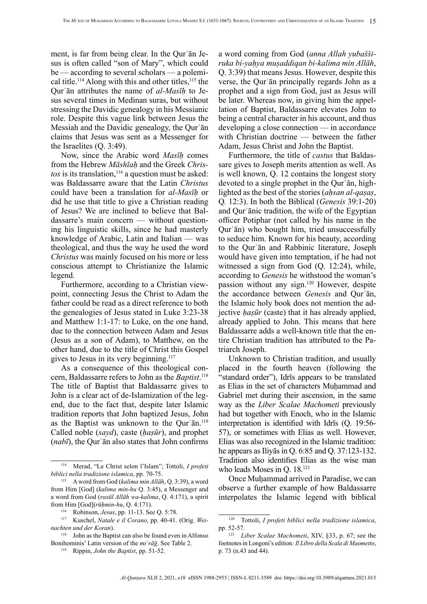ment, is far from being clear. In the Qurʾān Jesus is often called "son of Mary", which could be — according to several scholars — a polemical title.<sup>114</sup> Along with this and other titles,<sup>115</sup> the Qurʾān attributes the name of *al-Masīḥ* to Jesus several times in Medinan suras, but without stressing the Davidic genealogy in his Messianic role. Despite this vague link between Jesus the Messiah and the Davidic genealogy, the Qurʾān claims that Jesus was sent as a Messenger for the Israelites (Q. 3:49).

Now, since the Arabic word *Masīḥ* comes from the Hebrew *Māshīaḥ* and the Greek *Chris-* $\cos$  is its translation,<sup>116</sup> a question must be asked: was Baldassarre aware that the Latin *Christus* could have been a translation for *al-Masīḥ* or did he use that title to give a Christian reading of Jesus? We are inclined to believe that Baldassarre's main concern — without questioning his linguistic skills, since he had masterly knowledge of Arabic, Latin and Italian — was theological, and thus the way he used the word *Christus* was mainly focused on his more or less conscious attempt to Christianize the Islamic legend.

Furthermore, according to a Christian viewpoint, connecting Jesus the Christ to Adam the father could be read as a direct reference to both the genealogies of Jesus stated in Luke 3:23-38 and Matthew 1:1-17: to Luke, on the one hand, due to the connection between Adam and Jesus (Jesus as a son of Adam), to Matthew, on the other hand, due to the title of Christ this Gospel gives to Jesus in its very beginning.117

As a consequence of this theological concern, Baldassarre refers to John as the *Baptist*. 118 The title of Baptist that Baldassarre gives to John is a clear act of de-Islamization of the legend, due to the fact that, despite later Islamic tradition reports that John baptized Jesus, John as the Baptist was unknown to the Qurʾān.<sup>119</sup> Called noble (*sayd*), caste (*ḥaṣūr*), and prophet (*nabī*), the Qurʾān also states that John confirms a word coming from God (*anna Allah yubašširuka bi-yaḥya muṣaddiqan bi-kalima min Allāh*, Q. 3:39) that means Jesus. However, despite this verse, the Qurʾān principally regards John as a prophet and a sign from God, just as Jesus will be later. Whereas now, in giving him the appellation of Baptist, Baldassarre elevates John to being a central character in his account, and thus developing a close connection — in accordance with Christian doctrine — between the father Adam, Jesus Christ and John the Baptist.

Furthermore, the title of *castus* that Baldassare gives to Joseph merits attention as well. As is well known, Q. 12 contains the longest story devoted to a single prophet in the Qurʾān, highlighted as the best of the stories (*aḥsan al-qaṣaṣ*, Q*.* 12:3). In both the Biblical (*Genesis* 39:1-20) and Qurʾānic tradition, the wife of the Egyptian officer Potiphar (not called by his name in the Qurʾān) who bought him, tried unsuccessfully to seduce him. Known for his beauty, according to the Qurʾān and Rabbinic literature, Joseph would have given into temptation, if he had not witnessed a sign from God (Q. 12:24), while, according to *Genesis* he withstood the woman's passion without any sign.120 However, despite the accordance between *Genesis* and Qurʾān, the Islamic holy book does not mention the adjective *ḥaṣūr* (caste) that it has already applied, already applied to John. This means that here Baldassarre adds a well-known title that the entire Christian tradition has attributed to the Patriarch Joseph.

Unknown to Christian tradition, and usually placed in the fourth heaven (following the "standard order"), Idrīs appears to be translated as Elias in the set of characters Muḥammad and Gabriel met during their ascension, in the same way as the *Liber Scalae Machometi* previously had but together with Enoch, who in the Islamic interpretation is identified with Idrīs (Q. 19:56- 57), or sometimes with Elias as well. However, Elias was also recognized in the Islamic tradition: he appears as Iliyās in Q. 6:85 and Q. 37:123-132. Tradition also identifies Elias as the wise man who leads Moses in O. 18.<sup>121</sup>

Once Muḥammad arrived in Paradise, we can observe a further example of how Baldassarre interpolates the Islamic legend with biblical

<sup>114</sup> Merad, "Le Christ selon l'Islam"; Tottoli, *I profeti biblici nella tradizione islamica*, pp. 70-75.

<sup>115</sup> A word from God (*kalima min Allāh*, Q. 3:39), a word from Him [God] (*kalima min-hu* Q. 3:45), a Messenger and a word from God (*rasūl Allāh wa-kalima*, Q. 4:171), a spirit from Him [God](*rūḥmin-hu*, Q. 4:171).

<sup>116</sup> Robinson, *Jesus*, pp. 11-13. See Q. 5:78.

<sup>117</sup> Kuschel, *Natale e il Corano*, pp. 40-41. (Orig. *Weinachten und der Koran*).

<sup>118</sup> John as the Baptist can also be found even in Alfonso Bonihominis' Latin version of the *miʿrāǧ*. See Table 2.

<sup>119</sup> Rippin, *John the Baptist*, pp. 51-52.

<sup>120</sup> Tottoli, *I profeti biblici nella tradizione islamica*, pp. 52-57.

<sup>121</sup> *Liber Scalae Machometi*, XIV, §33, p. 67; see the footnotes in Longoni's edition*: Il Libro della Scala di Maometto*, p. 73 (n.43 and 44).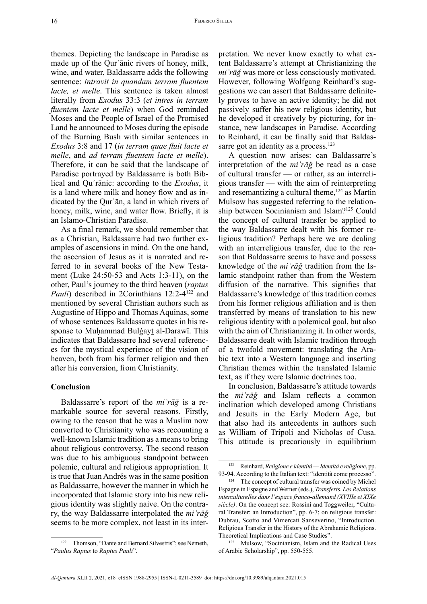themes. Depicting the landscape in Paradise as made up of the Qurʾānic rivers of honey, milk, wine, and water, Baldassarre adds the following sentence: *intravit in quandam terram fluentem lacte, et melle*. This sentence is taken almost literally from *Exodus* 33:3 (*et intres in terram fluentem lacte et melle*) when God reminded Moses and the People of Israel of the Promised Land he announced to Moses during the episode of the Burning Bush with similar sentences in *Exodus* 3:8 and 17 (*in terram quae fluit lacte et melle*, and *ad terram fluentem lacte et melle*). Therefore, it can be said that the landscape of Paradise portrayed by Baldassarre is both Biblical and Quʾrānic: according to the *Exodus*, it is a land where milk and honey flow and as indicated by the Qurʾān, a land in which rivers of honey, milk, wine, and water flow. Briefly, it is an Islamo-Christian Paradise.

As a final remark, we should remember that as a Christian, Baldassarre had two further examples of ascensions in mind. On the one hand, the ascension of Jesus as it is narrated and referred to in several books of the New Testament (Luke 24:50-53 and Acts 1:3-11), on the other, Paul's journey to the third heaven (*raptus Pauli*) described in 2Corinthians 12:2-4<sup>122</sup> and mentioned by several Christian authors such as Augustine of Hippo and Thomas Aquinas, some of whose sentences Baldassarre quotes in his response to Muḥammad Bulġayṯ al-Darawī. This indicates that Baldassarre had several references for the mystical experience of the vision of heaven, both from his former religion and then after his conversion, from Christianity.

# **Conclusion**

Baldassarre's report of the *miʿrāǧ* is a remarkable source for several reasons. Firstly, owing to the reason that he was a Muslim now converted to Christianity who was recounting a well-known Islamic tradition as a means to bring about religious controversy. The second reason was due to his ambiguous standpoint between polemic, cultural and religious appropriation. It is true that Juan Andrés was in the same position as Baldassarre, however the manner in which he incorporated that Islamic story into his new religious identity was slightly naive. On the contrary, the way Baldassarre interpolated the *miʿrāǧ* seems to be more complex, not least in its interpretation. We never know exactly to what extent Baldassarre's attempt at Christianizing the *miʿrāǧ* was more or less consciously motivated. However, following Wolfgang Reinhard's suggestions we can assert that Baldassarre definitely proves to have an active identity; he did not passively suffer his new religious identity, but he developed it creatively by picturing, for instance, new landscapes in Paradise. According to Reinhard, it can be finally said that Baldassarre got an identity as a process.<sup>123</sup>

A question now arises: can Baldassarre's interpretation of the *miʿrāǧ* be read as a case of cultural transfer — or rather, as an interreligious transfer — with the aim of reinterpreting and resemantizing a cultural theme,<sup>124</sup> as Martin Mulsow has suggested referring to the relationship between Socinianism and Islam?125 Could the concept of cultural transfer be applied to the way Baldassarre dealt with his former religious tradition? Perhaps here we are dealing with an interreligious transfer, due to the reason that Baldassarre seems to have and possess knowledge of the *miʿrāǧ* tradition from the Islamic standpoint rather than from the Western diffusion of the narrative. This signifies that Baldassarre's knowledge of this tradition comes from his former religious affiliation and is then transferred by means of translation to his new religious identity with a polemical goal, but also with the aim of Christianizing it. In other words, Baldassarre dealt with Islamic tradition through of a twofold movement: translating the Arabic text into a Western language and inserting Christian themes within the translated Islamic text, as if they were Islamic doctrines too.

In conclusion, Baldassarre's attitude towards the *miʿrāǧ* and Islam reflects a common inclination which developed among Christians and Jesuits in the Early Modern Age, but that also had its antecedents in authors such as William of Tripoli and Nicholas of Cusa. This attitude is precariously in equilibrium

<sup>122</sup> Thomson, "Dante and Bernard Silvestris"; see Németh, "*Paulus Raptus* to *Raptus Pauli*".

<sup>123</sup> Reinhard, *Religione e identità — Identità e religione*, pp. 93-94. According to the Italian text: "identità come processo".

<sup>&</sup>lt;sup>124</sup> The concept of cultural transfer was coined by Michel Espagne in Espagne and Werner (eds.), *Transfert*s*. Les Relations interculturelles dans l'espace franco-allemand (XVIIIe et XIXe siècle)*. On the concept see: Rossini and Toggweiler, "Cultural Transfer: an Introduction", pp. 6-7; on religious transfer: Dubrau, Scotto and Vimercati Sanseverino, "Introduction. Religious Transfer in the History of the Abrahamic Religions. Theoretical Implications and Case Studies".

<sup>125</sup> Mulsow, "Socinianism, Islam and the Radical Uses of Arabic Scholarship", pp. 550-555.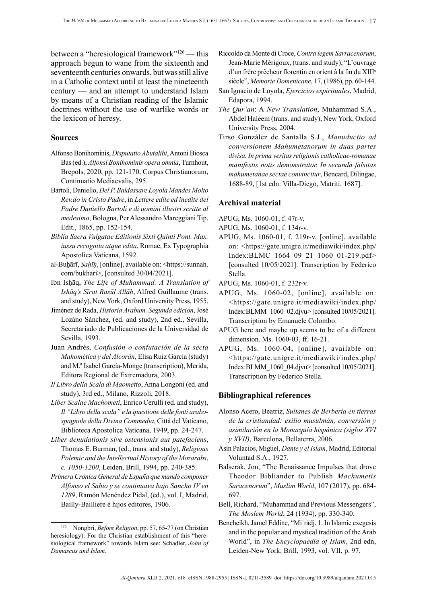between a "heresiological framework"126 — this approach begun to wane from the sixteenth and seventeenth centuries onwards, but was still alive in a Catholic context until at least the nineteenth century — and an attempt to understand Islam by means of a Christian reading of the Islamic doctrines without the use of warlike words or the lexicon of heresy.

# **Sources**

- Alfonso Bonihominis, *Disputatio Abutalibi*, Antoni Biosca Bas (ed.), *Alfonsi Bonihominis opera omnia*, Turnhout, Brepols, 2020, pp. 121-170, Corpus Christianorum, Continuatio Mediaevalis, 295.
- Bartoli, Daniello, *Del P. Baldassare Loyola Mandes Molto [Rev.do](http://Rev.do) in Cristo Padre*, in *Lettere edite ed inedite del Padre Daniello Bartoli e di uomini illustri scritte al medesimo*, Bologna, Per Alessandro Mareggiani Tip. Edit., 1865, pp. 152-154.
- *Biblia Sacra Vulgatae Editionis Sixti Quinti Pont. Max. iussu recognita atque edita*, Romae, Ex Typographia Apostolica Vaticana, 1592.
- al-Buḫārī, *Ṣaḥīḥ*, [online], available on: <[https://sunnah.](https://sunnah.com/bukhari) [com/bukhari>](https://sunnah.com/bukhari), [consulted 30/04/2021].
- Ibn Isḥāq, *The Life of Muhammad: A Translation of Ishāq's Sīrat Rasūl Allāh*, Alfred Guillaume (trans. and study), New York, Oxford University Press, 1955.
- Jiménez de Rada, *Historia Arabum. Segunda edición*, José Lozáno Sánchez, (ed. and study), 2nd ed., Sevilla, Secretariado de Publicaciones de la Universidad de Sevilla, 1993.
- Juan Andrés, *Confusión o confutación de la secta Mahomética y del Alcorán*, Elisa Ruiz García (study) and M.ª Isabel García-Monge (transcription), Merida, Editora Regional de Extremadura, 2003.
- *Il Libro della Scala di Maometto*, Anna Longoni (ed. and study), 3rd ed., Milano, Rizzoli, 2018.
- *Liber Scalae Machometi*, Enrico Cerulli (ed. and study), *Il "Libro della scala" e la questione delle fonti arabospagnole della Divina Commedia*, Città del Vaticano, Biblioteca Apostolica Vaticana, 1949, pp. 24-247.
- *Liber denudationis sive ostensionis aut patefaciens*, Thomas E. Burman, (ed., trans. and study), *Religious Polemic and the Intellectual History of the Mozarabs*, *c. 1050-1200*, Leiden, Brill, 1994, pp. 240-385.
- *Primera Crónica General de España que mandó componer Alfonso el Sabio y se continuava bajo Sancho IV en 1289*, Ramón Menéndez Pidal, (ed.), vol. I, Madrid, Bailly-Bailliere é hijos editores, 1906.
- Riccoldo da Monte di Croce, *Contra legem Sarracenorum*, Jean-Marie Mérigoux, (trans. and study), "L'ouvrage d'un frère prêcheur florentin en orient à la fin du XIII<sup>e</sup> siècle", *Memorie Domenicane*, 17, (1986), pp. 60-144.
- San Ignacio de Loyola, *Ejercicios espirituales*, Madrid, Edapora, 1994.
- *The Qurʾan*: A *New Translation*, Muhammad S.A., Abdel Haleem (trans. and study), New York, Oxford University Press, 2004.
- Tirso González de Santalla S.J., *Manuductio ad conversionem Mahumetanorum in duas partes divisa. In prima veritas religionis catholicae-romanae manifestis notis demonstrator. In secunda falsitas mahumetanae sectae convincitur*, Bencard, Dilingae, 1688-89, [1st edn: Villa-Diego, Matriti, 1687].

#### **Archival material**

- APUG, Ms. 1060-01, f. 47r-v.
- APUG, Ms. 1060-01, f. 134r-v.
- APUG, Ms. 1060-01, f. 219r-v, [online], available on: [<https://gate.unigre.it/mediawiki/index.php/](https://gate.unigre.it/mediawiki/index.php/Index:BLMC_1664_09_21_1060_01-219.pdf) [Index:BLMC\\_1664\\_09\\_21\\_1060\\_01-219.pdf>](https://gate.unigre.it/mediawiki/index.php/Index:BLMC_1664_09_21_1060_01-219.pdf) [consulted 10/05/2021]. Transcription by Federico Stella.
- APUG, Ms. 1060-01, f. 232r-v.
- APUG, Ms. 1060-02, [online], available on: <[https://gate.unigre.it/mediawiki/index.php/](https://gate.unigre.it/mediawiki/index.php/Index:BLMM_1060_02.djvu) [Index](https://gate.unigre.it/mediawiki/index.php/Index:BLMM_1060_02.djvu):BLMM\_1060\_02.djvu> [consulted 10/05/2021]. Transcription by Emanuele Colombo.
- APUG here and maybe up seems to be of a different dimension. Ms. 1060-03, ff. 16-21.
- APUG, Ms. 1060-04, [online], available on: <[https://gate.unigre.it/mediawiki/index.php/](https://gate.unigre.it/mediawiki/index.php/Index:BLMM_1060_04.djvu) [Index](https://gate.unigre.it/mediawiki/index.php/Index:BLMM_1060_04.djvu):BLMM\_1060\_04.djvu> [consulted 10/05/2021]. Transcription by Federico Stella.

## **Bibliographical references**

- Alonso Acero, Beatriz, *Sultanes de Berbería en tierras de la cristiandad: exilio musulmán, conversión y asimilación en la Monarquía hispánica (siglos XVI y XVII)*, Barcelona, Bellaterra, 2006.
- Asín Palacios, Miguel, *Dante y el Islam*, Madrid, Editorial Voluntad S.A., 1927.
- Balserak, Jon, "The Renaissance Impulses that drove Theodor Bibliander to Publish *Machumetis Saracenorum*", *Muslim World*, 107 (2017), pp. 684- 697.
- Bell, Richard, "Muhammad and Previous Messengers", *The Moslem World*, 24 (1934), pp. 330-340.
- Bencheikh, Jamel Eddine, "Miʿrādj. 1. In Islamic exegesis and in the popular and mystical tradition of the Arab World", in *The Encyclopaedia of Islam*, 2nd edn, Leiden-New York, Brill, 1993, vol. VII, p. 97.

<sup>126</sup> Nongbri, *Before Religion*, pp. 57, 65-77 (on Christian heresiology). For the Christian establishment of this "heresiological framework" towards Islam see: Schadler, *John of Damascus and Islam*.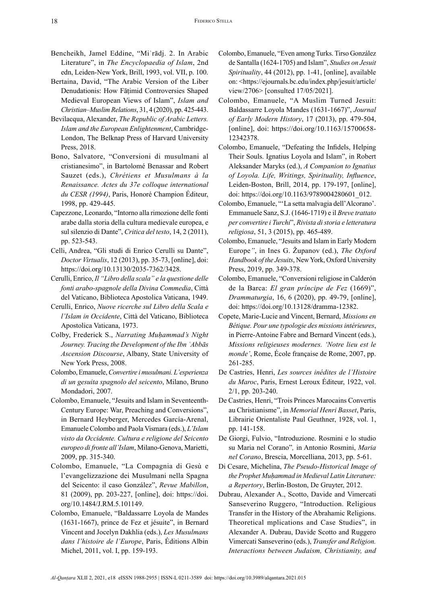- Bencheikh, Jamel Eddine, "Miʿrādj. 2. In Arabic Literature", in *The Encyclopaedia of Islam*, 2nd edn, Leiden-New York, Brill, 1993, vol. VII, p. 100.
- Bertaina, David, "The Arabic Version of the Liber Denudationis: How Fāṭimid Controversies Shaped Medieval European Views of Islam", *Islam and Christian–Muslim Relations*, 31, 4 (2020), pp. 425-443.
- Bevilacqua, Alexander, *The Republic of Arabic Letters. Islam and the European Enlightenment*, Cambridge-London, The Belknap Press of Harvard University Press, 2018.
- Bono, Salvatore, "Conversioni di musulmani al cristianesimo", in Bartolomé Benassar and Robert Sauzet (eds.), *Chrétiens et Musulmans à la Renaissance. Actes du 37e colloque international du CESR (1994)*, Paris, Honoré Champion Éditeur, 1998, pp. 429-445.
- Capezzone, Leonardo, "Intorno alla rimozione delle fonti arabe dalla storia della cultura medievale europea, e sul silenzio di Dante", *Critica del testo*, 14, 2 (2011), pp. 523-543.
- Celli, Andrea, "Gli studi di Enrico Cerulli su Dante", *Doctor Virtualis*, 12 (2013), pp. 35-73, [online], doi: <https://doi.org/10.13130/2035-7362/3428>.
- Cerulli, Enrico, *Il "Libro della scala" e la questione delle fonti arabo-spagnole della Divina Commedia*, Città del Vaticano, Biblioteca Apostolica Vaticana, 1949.
- Cerulli, Enrico, *Nuove ricerche sul Libro della Scala e l'Islam in Occidente*, Città del Vaticano, Biblioteca Apostolica Vaticana, 1973.
- Colby, Frederick S., *Narrating Muḥammad's Night Journey. Tracing the Development of the Ibn ʿAbbās Ascension Discourse*, Albany, State University of New York Press, 2008.
- Colombo, Emanuele, *Convertire i musulmani. L'esperienza di un gesuita spagnolo del seicento*, Milano, Bruno Mondadori, 2007.
- Colombo, Emanuele, "Jesuits and Islam in Seventeenth-Century Europe: War, Preaching and Conversions", in Bernard Heyberger, Mercedes García-Arenal, Emanuele Colombo and Paola Vismara (eds.), *L'Islam visto da Occidente. Cultura e religione del Seicento europeo di fronte all'Islam*, Milano-Genova, Marietti, 2009, pp. 315-340.
- Colombo, Emanuele, "La Compagnia di Gesù e l'evangelizzazione dei Musulmani nella Spagna del Seicento: il caso González", *Revue Mabillon*, 81 (2009), pp. 203-227, [online], doi: [https://doi.](https://doi.org/10.1484/J.RM.5.101149) [org/10.1484/J.RM.5.101149.](https://doi.org/10.1484/J.RM.5.101149)
- Colombo, Emanuele, "Baldassarre Loyola de Mandes (1631-1667), prince de Fez et jésuite", in Bernard Vincent and Jocelyn Dakhlia (eds.), *Les Musulmans dans l'histoire de l'Europe*, Paris, Éditions Albin Michel, 2011, vol. I, pp. 159-193.
- Colombo, Emanuele, "Even among Turks. Tirso González de Santalla (1624-1705) and Islam", *Studies on Jesuit Spirituality*, 44 (2012), pp. 1-41, [online], available on: <[https://ejournals.bc.edu/index.php/jesuit/article/](https://ejournals.bc.edu/index.php/jesuit/article/view/2706) [view/2706](https://ejournals.bc.edu/index.php/jesuit/article/view/2706)> [consulted 17/05/2021].
- Colombo, Emanuele, "A Muslim Turned Jesuit: Baldassarre Loyola Mandes (1631-1667)", *Journal of Early Modern History*, 17 (2013), pp. 479-504, [online], doi: [https://doi.org/10.1163/15700658-](https://doi.org/10.1163/15700658-12342378) [12342378.](https://doi.org/10.1163/15700658-12342378)
- Colombo, Emanuele, "Defeating the Infidels, Helping Their Souls. Ignatius Loyola and Islam", in Robert Aleksander Maryks (ed.), *A Companion to Ignatius of Loyola. Life, Writings, Spirituality, Influence*, Leiden-Boston, Brill, 2014, pp. 179-197, [online], doi: [https://doi.org/10.1163/9789004280601\\_012.](https://doi.org/10.1163/9789004280601_012)
- Colombo, Emanuele, "'La setta malvagia dell'Alcorano'. Emmanuele Sanz, S.J. (1646-1719) e il *Breve trattato per convertire i Turchi*", *Rivista di storia e letteratura religiosa*, 51, 3 (2015), pp. 465-489.
- Colombo, Emanuele, "Jesuits and Islam in Early Modern Europe*"*, in Ines G. Županov (ed.), *The Oxford Handbook of the Jesuits*, New York, Oxford University Press, 2019, pp. 349-378.
- Colombo, Emanuele, "Conversioni religiose in Calderón de la Barca: *El gran príncipe de Fez* (1669)", *Drammaturgia*, 16, 6 (2020), pp. 49-79, [online], doi: <https://doi.org/10.13128/dramma-12382>.
- Copete, Marie-Lucie and Vincent, Bernard, *Missions en Bétique. Pour une typologie des missions intérieures*, in Pierre-Antoine Fabre and Bernard Vincent (eds.), *Missions religieuses modernes. 'Notre lieu est le monde'*, Rome, École française de Rome, 2007, pp. 261-285.
- De Castries, Henri, *Les sources inédites de l'Histoire du Maroc*, Paris, Ernest Leroux Éditeur, 1922, vol. 2/1, pp. 203-240.
- De Castries, Henri, "Trois Princes Marocains Convertis au Christianisme", in *Memorial Henri Basset*, Paris, Librairie Orientaliste Paul Geuthner, 1928, vol. 1, pp. 141-158.
- De Giorgi, Fulvio, "Introduzione. Rosmini e lo studio su Maria nel Corano"*,* in Antonio Rosmini, *Maria nel Corano*, Brescia, Morcelliana, 2013, pp. 5-61.
- Di Cesare, Michelina, *The Pseudo-Historical Image of the Prophet Muḥammad in Medieval Latin Literature: a Repertory*, Berlin-Boston, De Gruyter, 2012.
- Dubrau, Alexander A., Scotto, Davide and Vimercati Sanseverino Ruggero, "Introduction. Religious Transfer in the History of the Abrahamic Religions. Theoretical mplications and Case Studies", in Alexander A. Dubrau, Davide Scotto and Ruggero Vimercati Sanseverino (eds.), *Transfer and Religion. Interactions between Judaism, Christianity, and*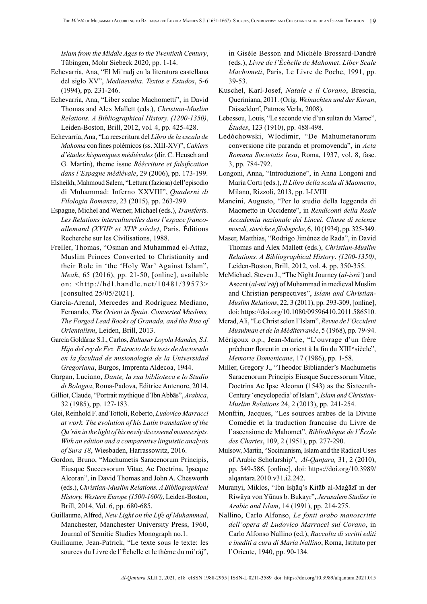*Islam from the Middle Ages to the Twentieth Century*, Tübingen, Mohr Siebeck 2020, pp. 1-14.

- Echevarría, Ana, "El Miʿradj en la literatura castellana del siglo XV", *Mediaevalia. Textos e Estudos*, 5-6 (1994), pp. 231-246.
- Echevarría, Ana, "Liber scalae Machometti", in David Thomas and Alex Mallett (eds.), *Christian-Muslim Relations. A Bibliographical History. (1200-1350)*, Leiden-Boston, Brill, 2012, vol. 4, pp. 425-428.
- Echevarría, Ana, "La reescritura del *Libro de la escala de Mahoma* con fines polémicos (ss. XIII-XV)", *Cahiers d'études hispaniques médiévales* (dir. C. Heusch and G. Martin), theme issue *Réécriture et falsification dans l'Espagne médiévale*, 29 (2006), pp. 173-199.
- Elsheikh, Mahmoud Salem, "Lettura (faziosa) dell'episodio di Muhammad: Inferno XXVIII", *Quaderni di Filologia Romanza*, 23 (2015), pp. 263-299.
- Espagne, Michel and Werner, Michael (eds.), *Transfert*s*. Les Relations interculturelles dans l'espace francoallemand (XVIII<sup>e</sup> et XIX<sup>e</sup> siècle)*, Paris, Éditions Recherche sur les Civilisations, 1988.
- Freller, Thomas, "Osman and Muhammad el-Attaz, Muslim Princes Converted to Christianity and their Role in 'the 'Holy War' Against Islam", *Meah*, 65 (2016), pp. 21-50, [online], available on: <[http://hdl.handle.net/10481/39573>](http://hdl.handle.net/10481/39573) [consulted 25/05/2021].
- García-Arenal, Mercedes and Rodríguez Mediano, Fernando, *The Orient in Spain. Converted Muslims, The Forged Lead Books of Granada, and the Rise of Orientalism*, Leiden, Brill, 2013.
- García Goldáraz S.I., Carlos, *Baltasar Loyola Mandes, S.I. Hijo del rey de Fez. Extracto de la tesis de doctorado en la facultad de misionologia de la Universidad Gregoriana*, Burgos, Imprenta Aldecoa, 1944.
- Gargan, Luciano, *Dante, la sua biblioteca e lo Studio di Bologna*, Roma-Padova, Editrice Antenore, 2014.
- Gilliot, Claude, "Portrait mythique d'Ibn Abbās", *Arabica*, 32 (1985), pp. 127-183.
- Glei, Reinhold F. and Tottoli, Roberto, *Ludovico Marracci at work. The evolution of his Latin translation of the Qu'rān in the light of his newly discovered manuscripts. With an edition and a comparative linguistic analysis of Sura 18*, Wiesbaden, Harrassowitz, 2016.
- Gordon, Bruno, "Machumetis Saracenorum Principis, Eiusque Successorum Vitae, Ac Doctrina, Ipseque Alcoran", in David Thomas and John A. Chesworth (eds.), *Christian-Muslim Relations. A Bibliographical History. Western Europe (1500-1600)*, Leiden-Boston, Brill, 2014, Vol. 6, pp. 680-685.
- Guillaume, Alfred, *New Light on the Life of Muhammad*, Manchester, Manchester University Press, 1960, Journal of Semitic Studies Monograph no.1.
- Guillaume, Jean-Patrick, "Le texte sous le texte: les sources du Livre de l'Échelle et le thème du miʿrāj",

in Gisèle Besson and Michèle Brossard-Dandré (eds.), *Livre de l'Èchelle de Mahomet*. *Liber Scale Machometi*, Paris, Le Livre de Poche, 1991, pp. 39-53.

- Kuschel, Karl-Josef, *Natale e il Corano*, Brescia, Queriniana, 2011. (Orig. *Weinachten und der Koran*, Düsseldorf, Patmos Verla, 2008).
- Lebessou, Louis, "Le seconde vie d'un sultan du Maroc", *Études*, 123 (1910), pp. 488-498.
- Ledóchowski, Wlodimir, "De Mahumetanorum conversione rite paranda et promovenda", in *Acta Romana Societatis Iesu*, Roma, 1937, vol. 8, fasc. 3, pp. 784-792.
- Longoni, Anna, "Introduzione", in Anna Longoni and Maria Corti (eds.), *Il Libro della scala di Maometto*, Milano, Rizzoli, 2013, pp. I-LVIII
- Mancini, Augusto, "Per lo studio della leggenda di Maometto in Occidente", in *Rendiconti della Reale Accademia nazionale dei Lincei*. *Classe di scienze morali, storiche e filologiche*, 6, 10 (1934), pp. 325-349.
- Maser, Matthias, "Rodrigo Jiménez de Rada", in David Thomas and Alex Mallett (eds.), *Christian-Muslim Relations. A Bibliographical History*. *(1200-1350)*, Leiden-Boston, Brill, 2012, vol. 4, pp. 350-355.
- McMichael, Steven J., "The Night Journey (*al-isrāʾ*) and Ascent (*al-miʿrāj*) of Muhammad in medieval Muslim and Christian perspectives", *Islam and Christian-Muslim Relations*, 22, 3 (2011), pp. 293-309, [online], doi: [https://doi.org/10.1080/09596410.2011.586510.](https://doi.org/10.1080/09596410.2011.586510)
- Merad, Ali, "Le Christ selon l'Islam", *Revue de l'Occident Musulman et de la Méditerranée*, 5 (1968), pp. 79-94.
- Mérigoux o.p., Jean-Marie, "L'ouvrage d'un frère prêcheur florentin en orient à la fin du XIII<sup>e</sup> siècle", *Memorie Domenicane*, 17 (1986), pp. 1-58.
- Miller, Gregory J., "Theodor Bibliander's Machumetis Saracenorum Principis Eiusque Successorum Vitae, Doctrina Ac Ipse Alcoran (1543) as the Sixteenth-Century 'encyclopedia' of Islam", *Islam and Christian-Muslim Relations* 24, 2 (2013), pp. 241-254.
- Monfrin, Jacques, "Les sources arabes de la Divine Comédie et la traduction francaise du Livre de l'ascensione de Mahomet", *Bibliothèque de l'École des Chartes*, 109, 2 (1951), pp. 277-290.
- Mulsow, Martin, "Socinianism, Islam and the Radical Uses of Arabic Scholarship", *Al-Qanṭara,* 31, 2 (2010), pp. 549-586, [online], doi: [https://doi.org/10.3989/](https://doi.org/10.3989/alqantara.2010.v31.i2.242) [alqantara.2010.v31.i2.242](https://doi.org/10.3989/alqantara.2010.v31.i2.242).
- Muranyi, Miklos, "Ibn Isḥāq's Kitāb al-Maġāzī in der Riwāya von Yūnus b. Bukayr", *Jerusalem Studies in Arabic and Islam*, 14 (1991), pp. 214-275.
- Nallino, Carlo Alfonso, *Le fonti arabo manoscritte dell'opera di Ludovico Marracci sul Corano*, in Carlo Alfonso Nallino (ed.), *Raccolta di scritti editi e inediti a cura di Maria Nallino*, Roma, Istituto per l'Oriente, 1940, pp. 90-134.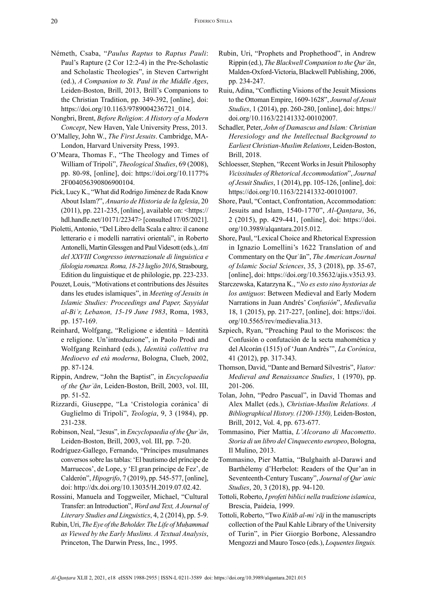- Németh, Csaba, "*Paulus Raptus* to *Raptus Pauli*: Paul's Rapture (2 Cor 12:2-4) in the Pre-Scholastic and Scholastic Theologies", in Steven Cartwright (ed.), *A Companion to St. Paul in the Middle Ages*, Leiden-Boston, Brill, 2013, Brill's Companions to the Christian Tradition, pp. 349-392, [online], doi: [https://doi.org/10.1163/9789004236721\\_014](https://doi.org/10.1163/9789004236721_014).
- Nongbri, Brent, *Before Religion*: *A History of a Modern Concept*, New Haven, Yale University Press, 2013.
- O'Malley, John W., *The First Jesuits*. Cambridge, MA-London, Harvard University Press, 1993.
- O'Meara, Thomas F., "The Theology and Times of William of Tripoli", *Theological Studies*, 69 (2008), pp. 80-98, [online], doi: [https://doi.org/10.1177%](https://doi.org/10.1177%2F004056390806900104) [2F004056390806900104.](https://doi.org/10.1177%2F004056390806900104)
- Pick, Lucy K., "What did Rodrigo Jiménez de Rada Know About Islam?", *Anuario de Historia de la Iglesia*, 20 (2011), pp. 221-235, [online], available on: <[https://](https://hdl.handle.net/10171/22347) [hdl.handle.net/10171/22347](https://hdl.handle.net/10171/22347)> [consulted 17/05/2021].
- Pioletti, Antonio, "Del Libro della Scala e altro: il canone letterario e i modelli narrativi orientali", in Roberto Antonelli, Martin Glessgen and Paul Videsott (eds.), *Atti del XXVIII Congresso internazionale di linguistica e filologia romanza. Roma, 18-23 luglio 2016*, Strasbourg, Edition du linguistique et de philologie, pp. 223-233.
- Pouzet, Louis, "Motivations et contributions des Jésuites dans les etudes islamiques", in *Meeting of Jesuits in Islamic Studies: Proceedings and Paper, Sayyidat al-Biʾr, Lebanon, 15-19 June 1983*, Roma, 1983, pp. 157-169.
- Reinhard, Wolfgang, "Religione e identità Identità e religione. Un'introduzione", in Paolo Prodi and Wolfgang Reinhard (eds.), *Identità collettive tra Medioevo ed età moderna*, Bologna, Clueb, 2002, pp. 87-124.
- Rippin, Andrew, "John the Baptist", in *Encyclopaedia of the Qurʾān*, Leiden-Boston, Brill, 2003, vol. III, pp. 51-52.
- Rizzardi, Giuseppe, "La 'Cristologia coránica' di Guglielmo di Tripoli", *Teologia*, 9, 3 (1984), pp. 231-238.
- Robinson, Neal, "Jesus", in *Encyclopaedia of the Qurʾān*, Leiden-Boston, Brill, 2003, vol. III, pp. 7-20.
- Rodríguez-Gallego, Fernando, "Príncipes musulmanes conversos sobre las tablas: 'El bautismo del príncipe de Marruecos', de Lope, y 'El gran príncipe de Fez', de Calderón", *Hipogrifo*, 7 (2019), pp. 545-577, [online], doi:<http://dx.doi.org/10.13035/H.2019.07.02.42>.
- Rossini, Manuela and Toggweiler, Michael, "Cultural Transfer: an Introduction", *Word and Text, A Journal of Literary Studies and Linguistics*, 4, 2 (2014), pp. 5-9.
- Rubin, Uri, *The Eye of the Beholder. The Life of Muḥammad as Viewed by the Early Muslims. A Textual Analysis*, Princeton, The Darwin Press, Inc., 1995.
- Rubin, Uri, "Prophets and Prophethood", in Andrew Rippin (ed.), *The Blackwell Companion to the Qurʾān*, Malden-Oxford-Victoria, Blackwell Publishing, 2006, pp. 234-247.
- Ruiu, Adina, "Conflicting Visions of the Jesuit Missions to the Ottoman Empire, 1609-1628", *Journal of Jesuit Studies*, 1 (2014), pp. 260-280, [online], doi: [https://](https://doi.org/10.1163/22141332-00102007) [doi.org/10.1163/22141332-00102007](https://doi.org/10.1163/22141332-00102007).
- Schadler, Peter, *John of Damascus and Islam: Christian Heresiology and the Intellectual Background to Earliest Christian-Muslim Relations*, Leiden-Boston, Brill, 2018.
- Schloesser, Stephen, "Recent Works in Jesuit Philosophy *Vicissitudes of Rhetorical Accommodation*", *Journal of Jesuit Studies*, 1 (2014), pp. 105-126, [online], doi: <https://doi.org/10.1163/22141332-00101007>.
- Shore, Paul, "Contact, Confrontation, Accommodation: Jesuits and Islam, 1540-1770", *Al-Qanṭara*, 36, 2 (2015), pp. 429-441, [online], doi: [https://doi.](https://doi.org/10.3989/alqantara.2015.012) [org/10.3989/alqantara.2015.012.](https://doi.org/10.3989/alqantara.2015.012)
- Shore, Paul, "Lexical Choice and Rhetorical Expression in Ignazio Lomellini's 1622 Translation of and Commentary on the Qurʾān", *The American Journal of Islamic Social Sciences*, 35, 3 (2018), pp. 35-67, [online], doi: [https://doi.org/10.35632/ajis.v35i3.93.](https://doi.org/10.35632/ajis.v35i3.93)
- Starczewska, Katarzyna K., "*No es esto sino hystorias de los antiguos*: Between Medieval and Early Modern Narrations in Juan Andrés' *Confusión*", *Medievalia* 18, 1 (2015), pp. 217-227, [online], doi: [https://doi.](https://doi.org/10.5565/rev/medievalia.313) [org/10.5565/rev/medievalia.313](https://doi.org/10.5565/rev/medievalia.313).
- Szpiech, Ryan, "Preaching Paul to the Moriscos: the Confusión o confutación de la secta mahomética y del Alcorán (1515) of 'Juan Andrés'", *La Corónica*, 41 (2012), pp. 317-343.
- Thomson, David, "Dante and Bernard Silvestris", *Viator: Medieval and Renaissance Studies*, 1 (1970), pp. 201-206.
- Tolan, John, "Pedro Pascual", in David Thomas and Alex Mallet (eds.), *Christian-Muslim Relations. A Bibliographical History. (1200-1350),* Leiden-Boston, Brill, 2012, Vol. 4, pp. 673-677.
- Tommasino, Pier Mattia, *L'Alcorano di Macometto*. *Storia di un libro del Cinquecento europeo*, Bologna, Il Mulino, 2013.
- Tommasino, Pier Mattia, "Bulghaith al-Darawi and Barthélemy d'Herbelot: Readers of the Qur'an in Seventeenth-Century Tuscany", *Journal of Qurʾanic Studies*, 20, 3 (2018), pp. 94-120.
- Tottoli, Roberto, *I profeti biblici nella tradizione islamica*, Brescia, Paideia, 1999.
- Tottoli, Roberto, "Two *Kitāb al-miʿrāj* in the manuscripts collection of the Paul Kahle Library of the University of Turin", in Pier Giorgio Borbone, Alessandro Mengozzi and Mauro Tosco (eds.), *Loquentes linguis.*